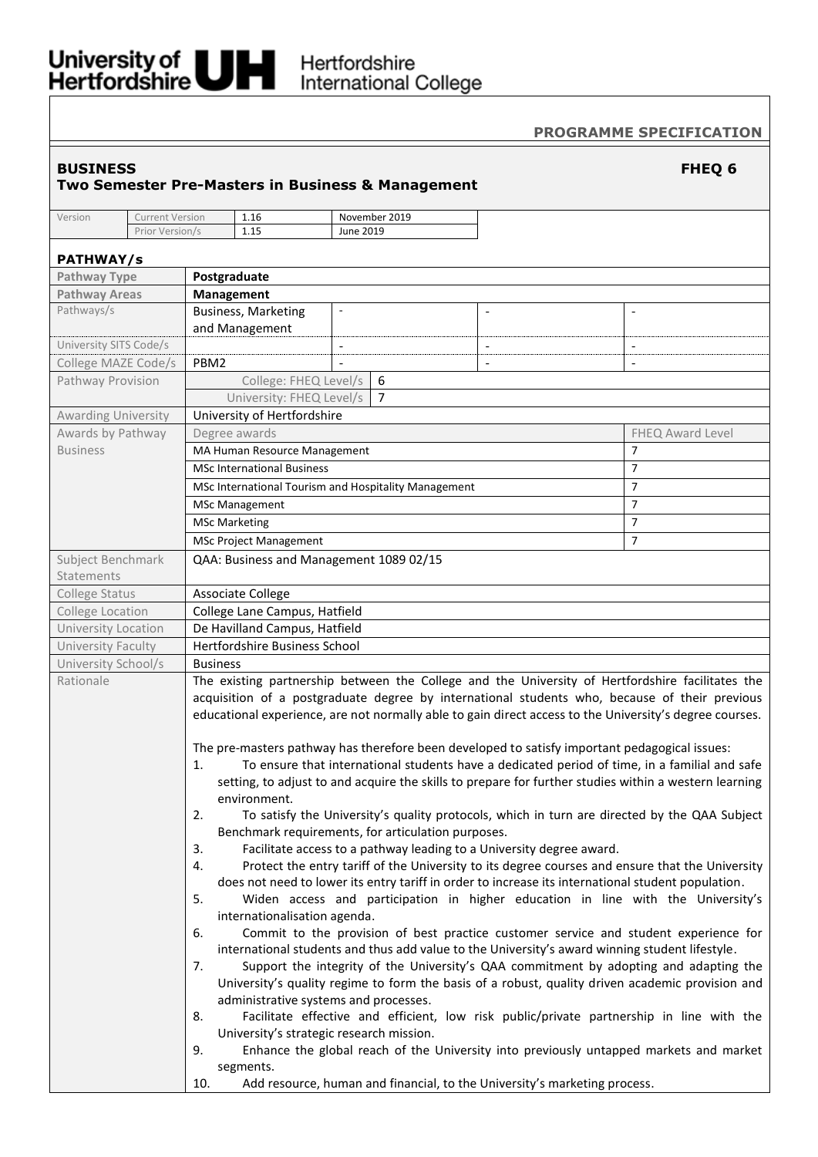# University of UNI Hertfordshire<br>Hertfordshire International College

## **PROGRAMME SPECIFICATION**

## **BUSINESS FHEQ 6**

## **Two Semester Pre-Masters in Business & Management**

| Version | Current Version | 1.16                     | November 2019 |
|---------|-----------------|--------------------------|---------------|
|         | Prior Version/s | 15<br>$\mathbf{A}$<br>ᆠᆠ | June 2019     |

## **PATHWAY/s Pathway Type Postgraduate Pathway Areas Management** Pathways/s **Business, Marketing** and Management - - - University SITS Code/s College MAZE Code/s | PBM2 Pathway Provision | College: FHEQ Level/s | 6 University: FHEQ Level/s 7 Awarding University University of Hertfordshire Awards by Pathway Business Degree awards **FHEQ Award Level FHEQ Award Level** MA Human Resource Management 7 and 7 and 7 and 7 and 7 and 7 and 7 and 7 and 7 and 7 and 7 and 7 and 7 and 7 and 7 and 7 and 7 and 7 and 7 and 7 and 7 and 7 and 7 and 7 and 7 and 7 and 7 and 7 and 7 and 7 and 7 and 7 and 7 MSc International Business 7 MSc International Tourism and Hospitality Management 7 MSc Management 2008 and 2009 and 2009 and 2009 and 2009 and 2009 and 2009 and 2009 and 2009 and 2009 and 2009 and 2009 and 2009 and 2009 and 2009 and 2009 and 2009 and 2009 and 2009 and 2009 and 2009 and 2009 and 2009 and MSc Marketing 7 MSc Project Management 7 Subject Benchmark Statements QAA: Business and Management 1089 02/15 College Status | Associate College College Location | College Lane Campus, Hatfield University Location | De Havilland Campus, Hatfield University Faculty | Hertfordshire Business School University School/s | Business Rationale The existing partnership between the College and the University of Hertfordshire facilitates the acquisition of a postgraduate degree by international students who, because of their previous educational experience, are not normally able to gain direct access to the University's degree courses. The pre-masters pathway has therefore been developed to satisfy important pedagogical issues: 1. To ensure that international students have a dedicated period of time, in a familial and safe setting, to adjust to and acquire the skills to prepare for further studies within a western learning environment. 2. To satisfy the University's quality protocols, which in turn are directed by the QAA Subject Benchmark requirements, for articulation purposes. 3. Facilitate access to a pathway leading to a University degree award. 4. Protect the entry tariff of the University to its degree courses and ensure that the University does not need to lower its entry tariff in order to increase its international student population. 5. Widen access and participation in higher education in line with the University's internationalisation agenda. 6. Commit to the provision of best practice customer service and student experience for international students and thus add value to the University's award winning student lifestyle. 7. Support the integrity of the University's QAA commitment by adopting and adapting the University's quality regime to form the basis of a robust, quality driven academic provision and administrative systems and processes. 8. Facilitate effective and efficient, low risk public/private partnership in line with the University's strategic research mission.

- 9. Enhance the global reach of the University into previously untapped markets and market segments.
	- 10. Add resource, human and financial, to the University's marketing process.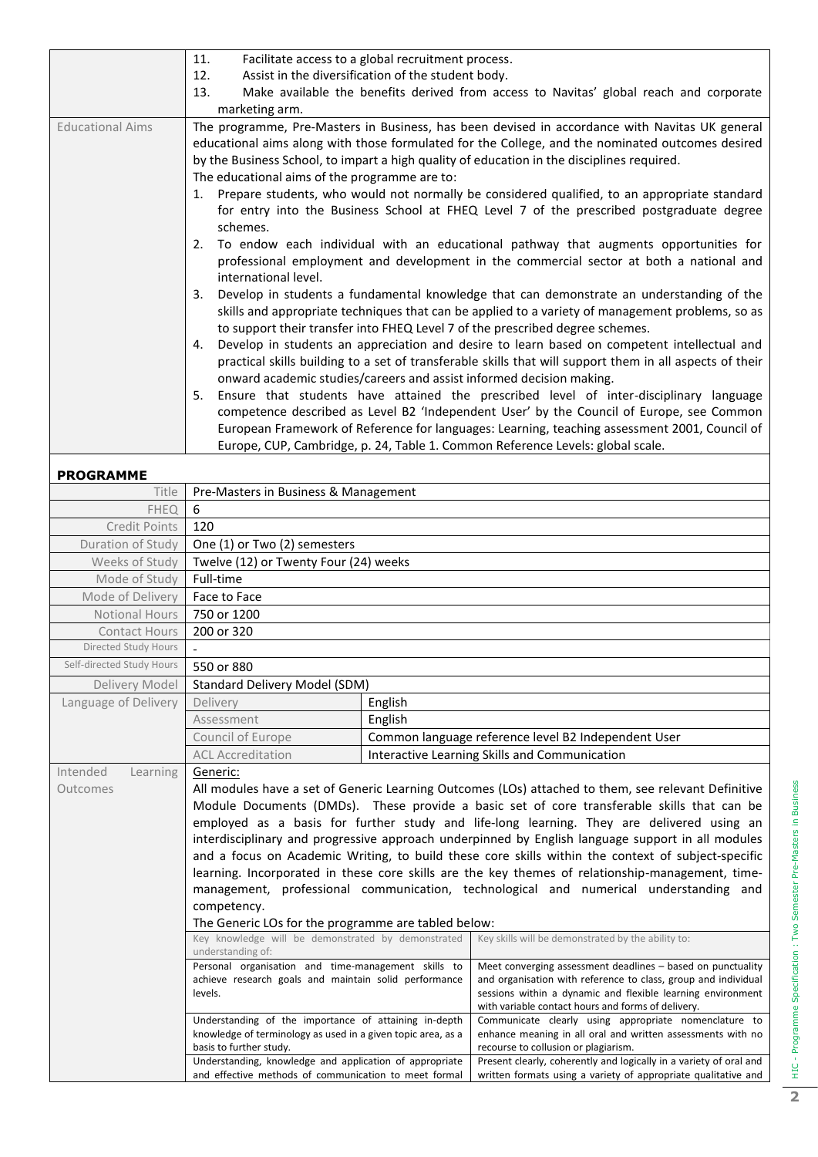|                         | 11.<br>Facilitate access to a global recruitment process.                                                                                                                                                                                                                                 |
|-------------------------|-------------------------------------------------------------------------------------------------------------------------------------------------------------------------------------------------------------------------------------------------------------------------------------------|
|                         | Assist in the diversification of the student body.<br>12.                                                                                                                                                                                                                                 |
|                         | Make available the benefits derived from access to Navitas' global reach and corporate<br>13.                                                                                                                                                                                             |
|                         | marketing arm.                                                                                                                                                                                                                                                                            |
| <b>Educational Aims</b> | The programme, Pre-Masters in Business, has been devised in accordance with Navitas UK general                                                                                                                                                                                            |
|                         | educational aims along with those formulated for the College, and the nominated outcomes desired                                                                                                                                                                                          |
|                         | by the Business School, to impart a high quality of education in the disciplines required.                                                                                                                                                                                                |
|                         | The educational aims of the programme are to:                                                                                                                                                                                                                                             |
|                         | 1. Prepare students, who would not normally be considered qualified, to an appropriate standard                                                                                                                                                                                           |
|                         | for entry into the Business School at FHEQ Level 7 of the prescribed postgraduate degree                                                                                                                                                                                                  |
|                         | schemes.                                                                                                                                                                                                                                                                                  |
|                         | To endow each individual with an educational pathway that augments opportunities for<br>2.                                                                                                                                                                                                |
|                         | professional employment and development in the commercial sector at both a national and<br>international level.                                                                                                                                                                           |
|                         | Develop in students a fundamental knowledge that can demonstrate an understanding of the<br>3.<br>skills and appropriate techniques that can be applied to a variety of management problems, so as<br>to support their transfer into FHEQ Level 7 of the prescribed degree schemes.       |
|                         | Develop in students an appreciation and desire to learn based on competent intellectual and<br>4.<br>practical skills building to a set of transferable skills that will support them in all aspects of their<br>onward academic studies/careers and assist informed decision making.     |
|                         | Ensure that students have attained the prescribed level of inter-disciplinary language<br>5.<br>competence described as Level B2 'Independent User' by the Council of Europe, see Common<br>European Framework of Reference for languages: Learning, teaching assessment 2001, Council of |
|                         | Europe, CUP, Cambridge, p. 24, Table 1. Common Reference Levels: global scale.                                                                                                                                                                                                            |

# **PROGRAMME**

| <b>PROGRAMME</b>                 |                                                                                                                                                                                                                                                                                                                                                                                                                                                                                                                                                                                                                                    |         |                                                                                                                                                                                                                                                                                                                                                                                                                                                                                                                                                                                                                                                                                                                                                                                                                                                                                                                                                              |  |  |  |  |
|----------------------------------|------------------------------------------------------------------------------------------------------------------------------------------------------------------------------------------------------------------------------------------------------------------------------------------------------------------------------------------------------------------------------------------------------------------------------------------------------------------------------------------------------------------------------------------------------------------------------------------------------------------------------------|---------|--------------------------------------------------------------------------------------------------------------------------------------------------------------------------------------------------------------------------------------------------------------------------------------------------------------------------------------------------------------------------------------------------------------------------------------------------------------------------------------------------------------------------------------------------------------------------------------------------------------------------------------------------------------------------------------------------------------------------------------------------------------------------------------------------------------------------------------------------------------------------------------------------------------------------------------------------------------|--|--|--|--|
| Title                            | Pre-Masters in Business & Management                                                                                                                                                                                                                                                                                                                                                                                                                                                                                                                                                                                               |         |                                                                                                                                                                                                                                                                                                                                                                                                                                                                                                                                                                                                                                                                                                                                                                                                                                                                                                                                                              |  |  |  |  |
| <b>FHEQ</b>                      | 6                                                                                                                                                                                                                                                                                                                                                                                                                                                                                                                                                                                                                                  |         |                                                                                                                                                                                                                                                                                                                                                                                                                                                                                                                                                                                                                                                                                                                                                                                                                                                                                                                                                              |  |  |  |  |
| <b>Credit Points</b>             | 120                                                                                                                                                                                                                                                                                                                                                                                                                                                                                                                                                                                                                                |         |                                                                                                                                                                                                                                                                                                                                                                                                                                                                                                                                                                                                                                                                                                                                                                                                                                                                                                                                                              |  |  |  |  |
| Duration of Study                | One (1) or Two (2) semesters                                                                                                                                                                                                                                                                                                                                                                                                                                                                                                                                                                                                       |         |                                                                                                                                                                                                                                                                                                                                                                                                                                                                                                                                                                                                                                                                                                                                                                                                                                                                                                                                                              |  |  |  |  |
| Weeks of Study                   | Twelve (12) or Twenty Four (24) weeks                                                                                                                                                                                                                                                                                                                                                                                                                                                                                                                                                                                              |         |                                                                                                                                                                                                                                                                                                                                                                                                                                                                                                                                                                                                                                                                                                                                                                                                                                                                                                                                                              |  |  |  |  |
| Mode of Study                    | Full-time                                                                                                                                                                                                                                                                                                                                                                                                                                                                                                                                                                                                                          |         |                                                                                                                                                                                                                                                                                                                                                                                                                                                                                                                                                                                                                                                                                                                                                                                                                                                                                                                                                              |  |  |  |  |
| Mode of Delivery                 | Face to Face                                                                                                                                                                                                                                                                                                                                                                                                                                                                                                                                                                                                                       |         |                                                                                                                                                                                                                                                                                                                                                                                                                                                                                                                                                                                                                                                                                                                                                                                                                                                                                                                                                              |  |  |  |  |
| <b>Notional Hours</b>            | 750 or 1200                                                                                                                                                                                                                                                                                                                                                                                                                                                                                                                                                                                                                        |         |                                                                                                                                                                                                                                                                                                                                                                                                                                                                                                                                                                                                                                                                                                                                                                                                                                                                                                                                                              |  |  |  |  |
| <b>Contact Hours</b>             | 200 or 320                                                                                                                                                                                                                                                                                                                                                                                                                                                                                                                                                                                                                         |         |                                                                                                                                                                                                                                                                                                                                                                                                                                                                                                                                                                                                                                                                                                                                                                                                                                                                                                                                                              |  |  |  |  |
| Directed Study Hours             |                                                                                                                                                                                                                                                                                                                                                                                                                                                                                                                                                                                                                                    |         |                                                                                                                                                                                                                                                                                                                                                                                                                                                                                                                                                                                                                                                                                                                                                                                                                                                                                                                                                              |  |  |  |  |
| Self-directed Study Hours        | 550 or 880                                                                                                                                                                                                                                                                                                                                                                                                                                                                                                                                                                                                                         |         |                                                                                                                                                                                                                                                                                                                                                                                                                                                                                                                                                                                                                                                                                                                                                                                                                                                                                                                                                              |  |  |  |  |
| Delivery Model                   | <b>Standard Delivery Model (SDM)</b>                                                                                                                                                                                                                                                                                                                                                                                                                                                                                                                                                                                               |         |                                                                                                                                                                                                                                                                                                                                                                                                                                                                                                                                                                                                                                                                                                                                                                                                                                                                                                                                                              |  |  |  |  |
| Language of Delivery             | Delivery                                                                                                                                                                                                                                                                                                                                                                                                                                                                                                                                                                                                                           | English |                                                                                                                                                                                                                                                                                                                                                                                                                                                                                                                                                                                                                                                                                                                                                                                                                                                                                                                                                              |  |  |  |  |
|                                  | Assessment                                                                                                                                                                                                                                                                                                                                                                                                                                                                                                                                                                                                                         | English |                                                                                                                                                                                                                                                                                                                                                                                                                                                                                                                                                                                                                                                                                                                                                                                                                                                                                                                                                              |  |  |  |  |
|                                  | Council of Europe                                                                                                                                                                                                                                                                                                                                                                                                                                                                                                                                                                                                                  |         | Common language reference level B2 Independent User                                                                                                                                                                                                                                                                                                                                                                                                                                                                                                                                                                                                                                                                                                                                                                                                                                                                                                          |  |  |  |  |
|                                  | <b>ACL Accreditation</b>                                                                                                                                                                                                                                                                                                                                                                                                                                                                                                                                                                                                           |         | Interactive Learning Skills and Communication                                                                                                                                                                                                                                                                                                                                                                                                                                                                                                                                                                                                                                                                                                                                                                                                                                                                                                                |  |  |  |  |
| Intended<br>Learning<br>Outcomes | Generic:<br>competency.<br>The Generic LOs for the programme are tabled below:<br>Key knowledge will be demonstrated by demonstrated<br>understanding of:<br>Personal organisation and time-management skills to<br>achieve research goals and maintain solid performance<br>levels.                                                                                                                                                                                                                                                                                                                                               |         | All modules have a set of Generic Learning Outcomes (LOs) attached to them, see relevant Definitive<br>Module Documents (DMDs). These provide a basic set of core transferable skills that can be<br>employed as a basis for further study and life-long learning. They are delivered using an<br>interdisciplinary and progressive approach underpinned by English language support in all modules<br>and a focus on Academic Writing, to build these core skills within the context of subject-specific<br>learning. Incorporated in these core skills are the key themes of relationship-management, time-<br>management, professional communication, technological and numerical understanding and<br>Key skills will be demonstrated by the ability to:<br>Meet converging assessment deadlines - based on punctuality<br>and organisation with reference to class, group and individual<br>sessions within a dynamic and flexible learning environment |  |  |  |  |
|                                  | with variable contact hours and forms of delivery.<br>Understanding of the importance of attaining in-depth<br>Communicate clearly using appropriate nomenclature to<br>knowledge of terminology as used in a given topic area, as a<br>enhance meaning in all oral and written assessments with no<br>basis to further study.<br>recourse to collusion or plagiarism.<br>Understanding, knowledge and application of appropriate<br>Present clearly, coherently and logically in a variety of oral and<br>and effective methods of communication to meet formal<br>written formats using a variety of appropriate qualitative and |         |                                                                                                                                                                                                                                                                                                                                                                                                                                                                                                                                                                                                                                                                                                                                                                                                                                                                                                                                                              |  |  |  |  |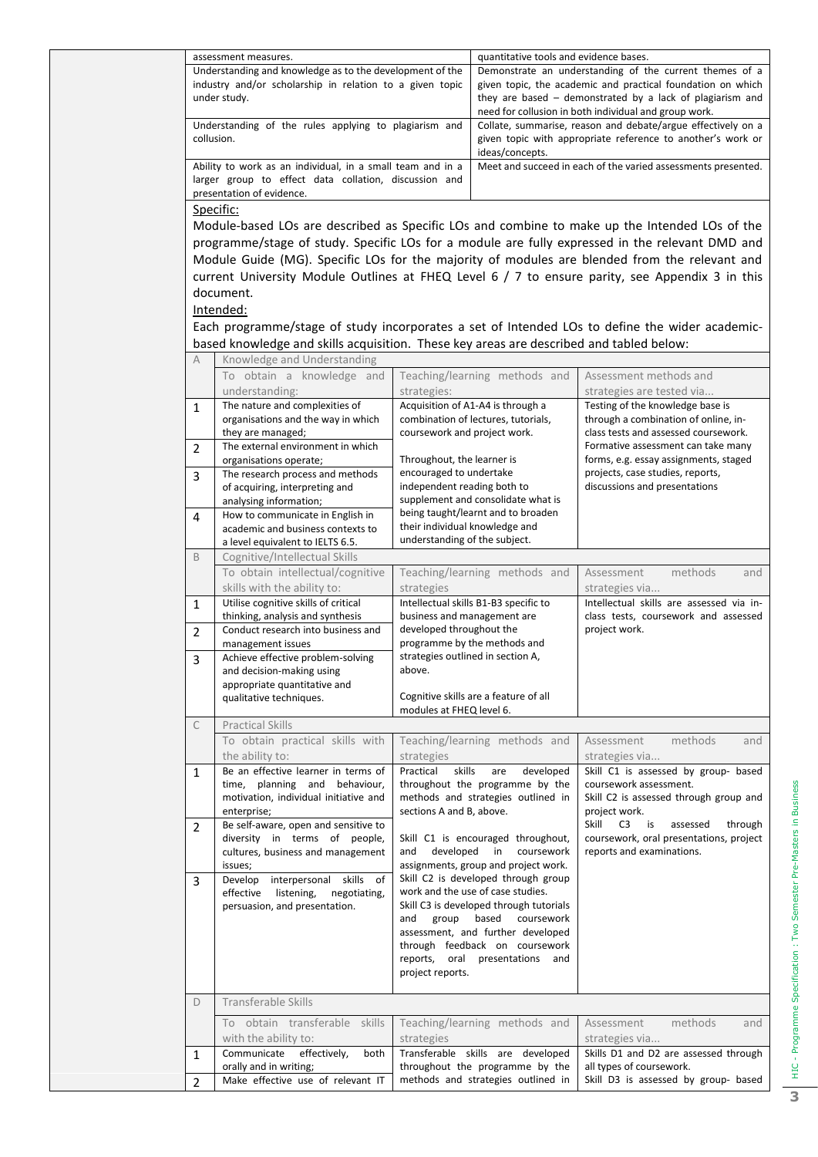|                | assessment measures.                                                                    |                                | quantitative tools and evidence bases.                                       |                                                                                                 |  |  |  |
|----------------|-----------------------------------------------------------------------------------------|--------------------------------|------------------------------------------------------------------------------|-------------------------------------------------------------------------------------------------|--|--|--|
|                | Understanding and knowledge as to the development of the                                |                                |                                                                              | Demonstrate an understanding of the current themes of a                                         |  |  |  |
|                | industry and/or scholarship in relation to a given topic                                |                                |                                                                              | given topic, the academic and practical foundation on which                                     |  |  |  |
|                | under study.                                                                            |                                |                                                                              | they are based - demonstrated by a lack of plagiarism and                                       |  |  |  |
|                |                                                                                         |                                |                                                                              | need for collusion in both individual and group work.                                           |  |  |  |
|                | Understanding of the rules applying to plagiarism and                                   |                                |                                                                              | Collate, summarise, reason and debate/argue effectively on a                                    |  |  |  |
|                | collusion.                                                                              |                                |                                                                              | given topic with appropriate reference to another's work or                                     |  |  |  |
|                |                                                                                         |                                | ideas/concepts.                                                              |                                                                                                 |  |  |  |
|                | Ability to work as an individual, in a small team and in a                              |                                |                                                                              | Meet and succeed in each of the varied assessments presented.                                   |  |  |  |
|                | larger group to effect data collation, discussion and                                   |                                |                                                                              |                                                                                                 |  |  |  |
|                | presentation of evidence.                                                               |                                |                                                                              |                                                                                                 |  |  |  |
|                | Specific:                                                                               |                                |                                                                              |                                                                                                 |  |  |  |
|                |                                                                                         |                                |                                                                              | Module-based LOs are described as Specific LOs and combine to make up the Intended LOs of the   |  |  |  |
|                |                                                                                         |                                |                                                                              | programme/stage of study. Specific LOs for a module are fully expressed in the relevant DMD and |  |  |  |
|                |                                                                                         |                                |                                                                              | Module Guide (MG). Specific LOs for the majority of modules are blended from the relevant and   |  |  |  |
|                |                                                                                         |                                |                                                                              | current University Module Outlines at FHEQ Level 6 / 7 to ensure parity, see Appendix 3 in this |  |  |  |
|                |                                                                                         |                                |                                                                              |                                                                                                 |  |  |  |
|                | document.                                                                               |                                |                                                                              |                                                                                                 |  |  |  |
|                | Intended:                                                                               |                                |                                                                              |                                                                                                 |  |  |  |
|                |                                                                                         |                                |                                                                              | Each programme/stage of study incorporates a set of Intended LOs to define the wider academic-  |  |  |  |
|                | based knowledge and skills acquisition. These key areas are described and tabled below: |                                |                                                                              |                                                                                                 |  |  |  |
| A              | Knowledge and Understanding                                                             |                                |                                                                              |                                                                                                 |  |  |  |
|                | To obtain a knowledge and                                                               |                                | Teaching/learning methods and                                                | Assessment methods and                                                                          |  |  |  |
|                | understanding:                                                                          | strategies:                    |                                                                              | strategies are tested via                                                                       |  |  |  |
| $\mathbf{1}$   | The nature and complexities of                                                          |                                | Acquisition of A1-A4 is through a                                            | Testing of the knowledge base is                                                                |  |  |  |
|                | organisations and the way in which                                                      |                                | combination of lectures, tutorials,                                          | through a combination of online, in-                                                            |  |  |  |
|                | they are managed;                                                                       | coursework and project work.   |                                                                              | class tests and assessed coursework.                                                            |  |  |  |
| $\overline{2}$ | The external environment in which                                                       |                                |                                                                              | Formative assessment can take many                                                              |  |  |  |
|                | organisations operate;                                                                  | Throughout, the learner is     |                                                                              | forms, e.g. essay assignments, staged                                                           |  |  |  |
| 3              | The research process and methods                                                        | encouraged to undertake        |                                                                              | projects, case studies, reports,                                                                |  |  |  |
|                | of acquiring, interpreting and                                                          | independent reading both to    |                                                                              | discussions and presentations                                                                   |  |  |  |
|                | analysing information;                                                                  |                                | supplement and consolidate what is                                           |                                                                                                 |  |  |  |
| 4              | How to communicate in English in                                                        |                                | being taught/learnt and to broaden                                           |                                                                                                 |  |  |  |
|                | academic and business contexts to                                                       | their individual knowledge and |                                                                              |                                                                                                 |  |  |  |
|                | a level equivalent to IELTS 6.5.                                                        | understanding of the subject.  |                                                                              |                                                                                                 |  |  |  |
| B              | Cognitive/Intellectual Skills                                                           |                                |                                                                              |                                                                                                 |  |  |  |
|                | To obtain intellectual/cognitive                                                        |                                | Teaching/learning methods and                                                | Assessment<br>methods<br>and                                                                    |  |  |  |
|                | skills with the ability to:                                                             | strategies                     |                                                                              | strategies via                                                                                  |  |  |  |
| $\mathbf{1}$   | Utilise cognitive skills of critical                                                    |                                | Intellectual skills B1-B3 specific to                                        | Intellectual skills are assessed via in-                                                        |  |  |  |
|                | thinking, analysis and synthesis                                                        | business and management are    |                                                                              | class tests, coursework and assessed                                                            |  |  |  |
| 2              | Conduct research into business and                                                      | developed throughout the       |                                                                              | project work.                                                                                   |  |  |  |
|                | management issues                                                                       |                                | programme by the methods and                                                 |                                                                                                 |  |  |  |
| 3              | Achieve effective problem-solving                                                       | above.                         | strategies outlined in section A,                                            |                                                                                                 |  |  |  |
|                | and decision-making using<br>appropriate quantitative and                               |                                |                                                                              |                                                                                                 |  |  |  |
|                | qualitative techniques.                                                                 |                                | Cognitive skills are a feature of all                                        |                                                                                                 |  |  |  |
|                |                                                                                         | modules at FHEQ level 6.       |                                                                              |                                                                                                 |  |  |  |
| C              | <b>Practical Skills</b>                                                                 |                                |                                                                              |                                                                                                 |  |  |  |
|                | To obtain practical skills with                                                         |                                | Teaching/learning methods and                                                | methods<br>Assessment<br>and                                                                    |  |  |  |
|                | the ability to:                                                                         | strategies                     |                                                                              | strategies via                                                                                  |  |  |  |
| $\mathbf{1}$   | Be an effective learner in terms of                                                     | skills<br>Practical            | developed<br>are                                                             | Skill C1 is assessed by group- based                                                            |  |  |  |
|                | time, planning and behaviour,                                                           |                                | throughout the programme by the                                              | coursework assessment.                                                                          |  |  |  |
|                | motivation, individual initiative and                                                   |                                | methods and strategies outlined in                                           | Skill C2 is assessed through group and                                                          |  |  |  |
|                | enterprise;                                                                             | sections A and B, above.       |                                                                              | project work.                                                                                   |  |  |  |
| $\overline{2}$ | Be self-aware, open and sensitive to                                                    |                                |                                                                              | Skill C3 is<br>assessed<br>through                                                              |  |  |  |
|                | diversity in terms of people,                                                           |                                | Skill C1 is encouraged throughout,                                           | coursework, oral presentations, project                                                         |  |  |  |
|                | cultures, business and management                                                       | developed in<br>and            | coursework                                                                   | reports and examinations.                                                                       |  |  |  |
|                | issues;                                                                                 |                                | assignments, group and project work.                                         |                                                                                                 |  |  |  |
| 3              | Develop interpersonal skills of                                                         |                                | Skill C2 is developed through group                                          |                                                                                                 |  |  |  |
|                | effective listening,<br>negotiating,                                                    |                                | work and the use of case studies.<br>Skill C3 is developed through tutorials |                                                                                                 |  |  |  |
|                | persuasion, and presentation.                                                           | and                            | group based coursework                                                       |                                                                                                 |  |  |  |
|                |                                                                                         |                                | assessment, and further developed                                            |                                                                                                 |  |  |  |
|                |                                                                                         |                                | through feedback on coursework                                               |                                                                                                 |  |  |  |
|                |                                                                                         |                                | reports, oral presentations and                                              |                                                                                                 |  |  |  |
|                |                                                                                         | project reports.               |                                                                              |                                                                                                 |  |  |  |
|                |                                                                                         |                                |                                                                              |                                                                                                 |  |  |  |
| D              | Transferable Skills                                                                     |                                |                                                                              |                                                                                                 |  |  |  |
|                |                                                                                         |                                |                                                                              |                                                                                                 |  |  |  |
|                | To obtain transferable skills                                                           |                                | Teaching/learning methods and                                                | methods<br>Assessment<br>and                                                                    |  |  |  |
|                | with the ability to:                                                                    | strategies                     |                                                                              | strategies via                                                                                  |  |  |  |
| $\mathbf{1}$   | Communicate<br>effectively,<br>both                                                     |                                | Transferable skills are developed                                            | Skills D1 and D2 are assessed through                                                           |  |  |  |
|                | orally and in writing;                                                                  |                                | throughout the programme by the                                              | all types of coursework.                                                                        |  |  |  |
| $\overline{2}$ | Make effective use of relevant IT                                                       |                                | methods and strategies outlined in                                           | Skill D3 is assessed by group- based                                                            |  |  |  |

HIC - Programme Specification : Two Semester Pre-Masters in Business W HIC - Programme Specification : Two Semester Pre-Masters in Business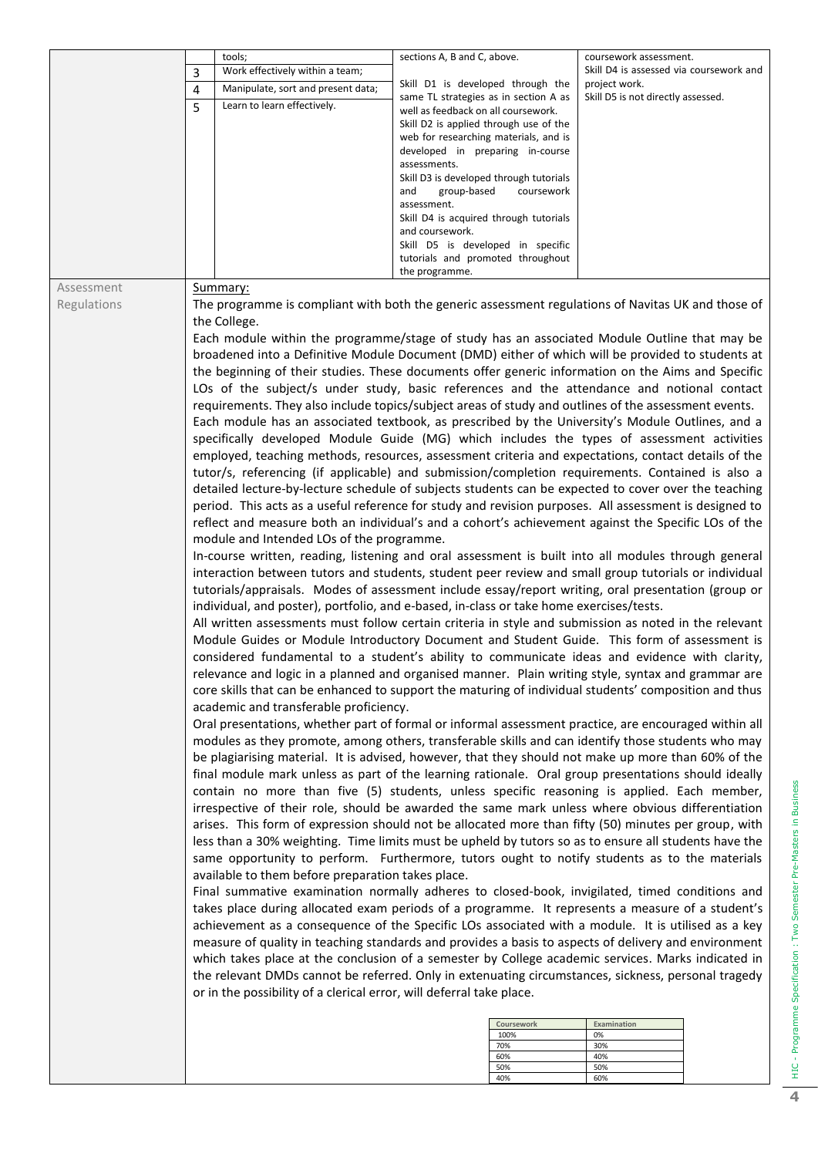|             |   | tools;                                                                                  | sections A, B and C, above.                                                   |             | coursework assessment.                                                                                 |
|-------------|---|-----------------------------------------------------------------------------------------|-------------------------------------------------------------------------------|-------------|--------------------------------------------------------------------------------------------------------|
|             | 3 | Work effectively within a team;                                                         |                                                                               |             | Skill D4 is assessed via coursework and                                                                |
|             | 4 | Manipulate, sort and present data;                                                      | Skill D1 is developed through the                                             |             | project work.                                                                                          |
|             | 5 | Learn to learn effectively.                                                             | same TL strategies as in section A as                                         |             | Skill D5 is not directly assessed.                                                                     |
|             |   |                                                                                         | well as feedback on all coursework.<br>Skill D2 is applied through use of the |             |                                                                                                        |
|             |   |                                                                                         | web for researching materials, and is                                         |             |                                                                                                        |
|             |   |                                                                                         | developed in preparing in-course                                              |             |                                                                                                        |
|             |   |                                                                                         | assessments.                                                                  |             |                                                                                                        |
|             |   |                                                                                         | Skill D3 is developed through tutorials                                       |             |                                                                                                        |
|             |   |                                                                                         | group-based<br>and<br>assessment.                                             | coursework  |                                                                                                        |
|             |   |                                                                                         | Skill D4 is acquired through tutorials                                        |             |                                                                                                        |
|             |   |                                                                                         | and coursework.                                                               |             |                                                                                                        |
|             |   |                                                                                         | Skill D5 is developed in specific                                             |             |                                                                                                        |
|             |   |                                                                                         | tutorials and promoted throughout                                             |             |                                                                                                        |
|             |   |                                                                                         | the programme.                                                                |             |                                                                                                        |
| Assessment  |   | Summary:                                                                                |                                                                               |             |                                                                                                        |
| Regulations |   |                                                                                         |                                                                               |             | The programme is compliant with both the generic assessment regulations of Navitas UK and those of     |
|             |   | the College.                                                                            |                                                                               |             |                                                                                                        |
|             |   |                                                                                         |                                                                               |             | Each module within the programme/stage of study has an associated Module Outline that may be           |
|             |   |                                                                                         |                                                                               |             | broadened into a Definitive Module Document (DMD) either of which will be provided to students at      |
|             |   |                                                                                         |                                                                               |             | the beginning of their studies. These documents offer generic information on the Aims and Specific     |
|             |   |                                                                                         |                                                                               |             | LOs of the subject/s under study, basic references and the attendance and notional contact             |
|             |   |                                                                                         |                                                                               |             | requirements. They also include topics/subject areas of study and outlines of the assessment events.   |
|             |   |                                                                                         |                                                                               |             | Each module has an associated textbook, as prescribed by the University's Module Outlines, and a       |
|             |   |                                                                                         |                                                                               |             | specifically developed Module Guide (MG) which includes the types of assessment activities             |
|             |   |                                                                                         |                                                                               |             | employed, teaching methods, resources, assessment criteria and expectations, contact details of the    |
|             |   |                                                                                         |                                                                               |             | tutor/s, referencing (if applicable) and submission/completion requirements. Contained is also a       |
|             |   |                                                                                         |                                                                               |             | detailed lecture-by-lecture schedule of subjects students can be expected to cover over the teaching   |
|             |   |                                                                                         |                                                                               |             | period. This acts as a useful reference for study and revision purposes. All assessment is designed to |
|             |   |                                                                                         |                                                                               |             | reflect and measure both an individual's and a cohort's achievement against the Specific LOs of the    |
|             |   | module and Intended LOs of the programme.                                               |                                                                               |             |                                                                                                        |
|             |   |                                                                                         |                                                                               |             | In-course written, reading, listening and oral assessment is built into all modules through general    |
|             |   |                                                                                         |                                                                               |             | interaction between tutors and students, student peer review and small group tutorials or individual   |
|             |   |                                                                                         |                                                                               |             | tutorials/appraisals. Modes of assessment include essay/report writing, oral presentation (group or    |
|             |   | individual, and poster), portfolio, and e-based, in-class or take home exercises/tests. |                                                                               |             |                                                                                                        |
|             |   |                                                                                         |                                                                               |             | All written assessments must follow certain criteria in style and submission as noted in the relevant  |
|             |   |                                                                                         |                                                                               |             | Module Guides or Module Introductory Document and Student Guide. This form of assessment is            |
|             |   |                                                                                         |                                                                               |             | considered fundamental to a student's ability to communicate ideas and evidence with clarity,          |
|             |   |                                                                                         |                                                                               |             | relevance and logic in a planned and organised manner. Plain writing style, syntax and grammar are     |
|             |   |                                                                                         |                                                                               |             | core skills that can be enhanced to support the maturing of individual students' composition and thus  |
|             |   | academic and transferable proficiency.                                                  |                                                                               |             |                                                                                                        |
|             |   |                                                                                         |                                                                               |             | Oral presentations, whether part of formal or informal assessment practice, are encouraged within all  |
|             |   |                                                                                         |                                                                               |             | modules as they promote, among others, transferable skills and can identify those students who may     |
|             |   |                                                                                         |                                                                               |             | be plagiarising material. It is advised, however, that they should not make up more than 60% of the    |
|             |   |                                                                                         |                                                                               |             | final module mark unless as part of the learning rationale. Oral group presentations should ideally    |
|             |   |                                                                                         |                                                                               |             | contain no more than five (5) students, unless specific reasoning is applied. Each member,             |
|             |   |                                                                                         |                                                                               |             | irrespective of their role, should be awarded the same mark unless where obvious differentiation       |
|             |   |                                                                                         |                                                                               |             | arises. This form of expression should not be allocated more than fifty (50) minutes per group, with   |
|             |   |                                                                                         |                                                                               |             | less than a 30% weighting. Time limits must be upheld by tutors so as to ensure all students have the  |
|             |   |                                                                                         |                                                                               |             | same opportunity to perform. Furthermore, tutors ought to notify students as to the materials          |
|             |   | available to them before preparation takes place.                                       |                                                                               |             |                                                                                                        |
|             |   |                                                                                         |                                                                               |             | Final summative examination normally adheres to closed-book, invigilated, timed conditions and         |
|             |   |                                                                                         |                                                                               |             | takes place during allocated exam periods of a programme. It represents a measure of a student's       |
|             |   |                                                                                         |                                                                               |             | achievement as a consequence of the Specific LOs associated with a module. It is utilised as a key     |
|             |   |                                                                                         |                                                                               |             | measure of quality in teaching standards and provides a basis to aspects of delivery and environment   |
|             |   |                                                                                         |                                                                               |             | which takes place at the conclusion of a semester by College academic services. Marks indicated in     |
|             |   |                                                                                         |                                                                               |             | the relevant DMDs cannot be referred. Only in extenuating circumstances, sickness, personal tragedy    |
|             |   | or in the possibility of a clerical error, will deferral take place.                    |                                                                               |             |                                                                                                        |
|             |   |                                                                                         |                                                                               | Coursework  | Examination                                                                                            |
|             |   |                                                                                         |                                                                               | 100%<br>70% | 0%<br>30%                                                                                              |
|             |   |                                                                                         |                                                                               | 60%         | 40%                                                                                                    |
|             |   |                                                                                         |                                                                               | 50%<br>40%  | 50%<br>60%                                                                                             |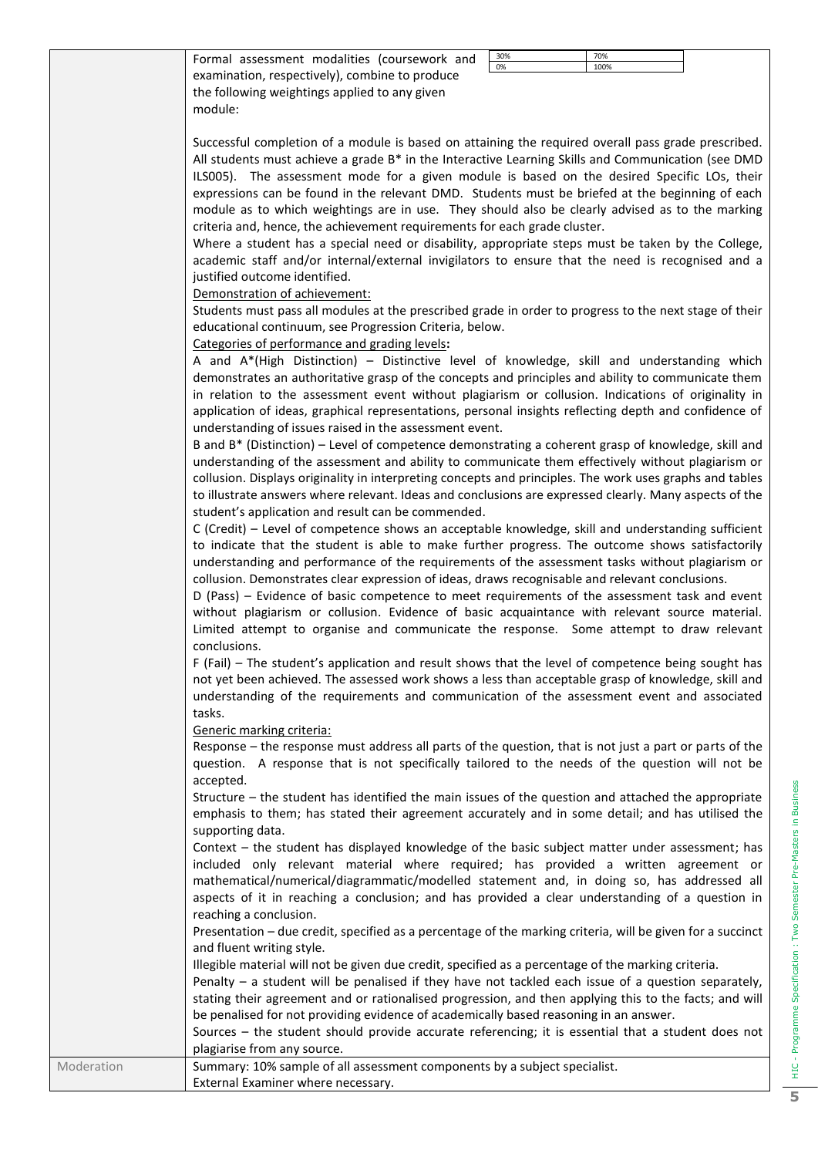| 70%<br>30%<br>Formal assessment modalities (coursework and<br>0%<br>100%                                                                                                                                   |
|------------------------------------------------------------------------------------------------------------------------------------------------------------------------------------------------------------|
| examination, respectively), combine to produce                                                                                                                                                             |
| the following weightings applied to any given                                                                                                                                                              |
| module:                                                                                                                                                                                                    |
| Successful completion of a module is based on attaining the required overall pass grade prescribed.<br>All students must achieve a grade B* in the Interactive Learning Skills and Communication (see DMD  |
| ILS005). The assessment mode for a given module is based on the desired Specific LOs, their                                                                                                                |
| expressions can be found in the relevant DMD. Students must be briefed at the beginning of each                                                                                                            |
| module as to which weightings are in use. They should also be clearly advised as to the marking                                                                                                            |
| criteria and, hence, the achievement requirements for each grade cluster.                                                                                                                                  |
| Where a student has a special need or disability, appropriate steps must be taken by the College,                                                                                                          |
| academic staff and/or internal/external invigilators to ensure that the need is recognised and a                                                                                                           |
| justified outcome identified.<br>Demonstration of achievement:                                                                                                                                             |
| Students must pass all modules at the prescribed grade in order to progress to the next stage of their                                                                                                     |
| educational continuum, see Progression Criteria, below.                                                                                                                                                    |
| Categories of performance and grading levels:                                                                                                                                                              |
| A and A*(High Distinction) - Distinctive level of knowledge, skill and understanding which                                                                                                                 |
| demonstrates an authoritative grasp of the concepts and principles and ability to communicate them                                                                                                         |
| in relation to the assessment event without plagiarism or collusion. Indications of originality in                                                                                                         |
| application of ideas, graphical representations, personal insights reflecting depth and confidence of                                                                                                      |
| understanding of issues raised in the assessment event.                                                                                                                                                    |
| B and B* (Distinction) – Level of competence demonstrating a coherent grasp of knowledge, skill and                                                                                                        |
| understanding of the assessment and ability to communicate them effectively without plagiarism or                                                                                                          |
| collusion. Displays originality in interpreting concepts and principles. The work uses graphs and tables                                                                                                   |
| to illustrate answers where relevant. Ideas and conclusions are expressed clearly. Many aspects of the                                                                                                     |
| student's application and result can be commended.                                                                                                                                                         |
| C (Credit) - Level of competence shows an acceptable knowledge, skill and understanding sufficient                                                                                                         |
| to indicate that the student is able to make further progress. The outcome shows satisfactorily<br>understanding and performance of the requirements of the assessment tasks without plagiarism or         |
| collusion. Demonstrates clear expression of ideas, draws recognisable and relevant conclusions.                                                                                                            |
| D (Pass) - Evidence of basic competence to meet requirements of the assessment task and event                                                                                                              |
| without plagiarism or collusion. Evidence of basic acquaintance with relevant source material.                                                                                                             |
| Limited attempt to organise and communicate the response. Some attempt to draw relevant                                                                                                                    |
| conclusions.                                                                                                                                                                                               |
| F (Fail) – The student's application and result shows that the level of competence being sought has                                                                                                        |
| not yet been achieved. The assessed work shows a less than acceptable grasp of knowledge, skill and                                                                                                        |
| understanding of the requirements and communication of the assessment event and associated                                                                                                                 |
| tasks.                                                                                                                                                                                                     |
| Generic marking criteria:                                                                                                                                                                                  |
| Response – the response must address all parts of the question, that is not just a part or parts of the<br>question. A response that is not specifically tailored to the needs of the question will not be |
| accepted.                                                                                                                                                                                                  |
| Structure - the student has identified the main issues of the question and attached the appropriate                                                                                                        |
| emphasis to them; has stated their agreement accurately and in some detail; and has utilised the                                                                                                           |
| supporting data.                                                                                                                                                                                           |
| Context - the student has displayed knowledge of the basic subject matter under assessment; has                                                                                                            |
| included only relevant material where required; has provided a written agreement or                                                                                                                        |
| mathematical/numerical/diagrammatic/modelled statement and, in doing so, has addressed all                                                                                                                 |
| aspects of it in reaching a conclusion; and has provided a clear understanding of a question in                                                                                                            |
| reaching a conclusion.                                                                                                                                                                                     |
| Presentation - due credit, specified as a percentage of the marking criteria, will be given for a succinct                                                                                                 |
| and fluent writing style.                                                                                                                                                                                  |
| Illegible material will not be given due credit, specified as a percentage of the marking criteria.                                                                                                        |
| Penalty - a student will be penalised if they have not tackled each issue of a question separately,                                                                                                        |
| stating their agreement and or rationalised progression, and then applying this to the facts; and will<br>be penalised for not providing evidence of academically based reasoning in an answer.            |
|                                                                                                                                                                                                            |

Sources – the student should provide accurate referencing; it is essential that a student does not plagiarise from any source.

Moderation Summary: 10% sample of all assessment components by a subject specialist. External Examiner where necessary.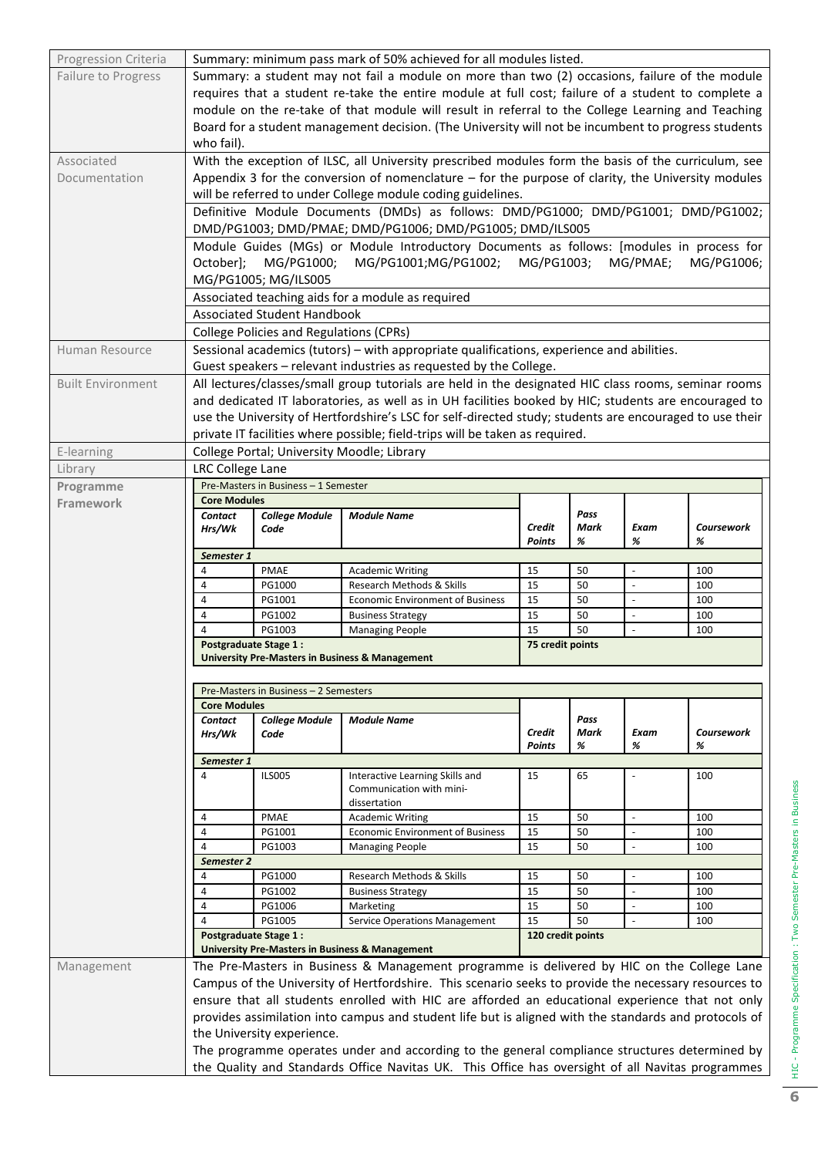| Progression Criteria       | Summary: minimum pass mark of 50% achieved for all modules listed.                                  |                                                |                                                                                                         |                         |              |                          |                   |  |  |
|----------------------------|-----------------------------------------------------------------------------------------------------|------------------------------------------------|---------------------------------------------------------------------------------------------------------|-------------------------|--------------|--------------------------|-------------------|--|--|
| <b>Failure to Progress</b> |                                                                                                     |                                                | Summary: a student may not fail a module on more than two (2) occasions, failure of the module          |                         |              |                          |                   |  |  |
|                            |                                                                                                     |                                                | requires that a student re-take the entire module at full cost; failure of a student to complete a      |                         |              |                          |                   |  |  |
|                            |                                                                                                     |                                                | module on the re-take of that module will result in referral to the College Learning and Teaching       |                         |              |                          |                   |  |  |
|                            | Board for a student management decision. (The University will not be incumbent to progress students |                                                |                                                                                                         |                         |              |                          |                   |  |  |
|                            | who fail).                                                                                          |                                                |                                                                                                         |                         |              |                          |                   |  |  |
| Associated                 |                                                                                                     |                                                | With the exception of ILSC, all University prescribed modules form the basis of the curriculum, see     |                         |              |                          |                   |  |  |
| Documentation              |                                                                                                     |                                                | Appendix 3 for the conversion of nomenclature - for the purpose of clarity, the University modules      |                         |              |                          |                   |  |  |
|                            |                                                                                                     |                                                | will be referred to under College module coding guidelines.                                             |                         |              |                          |                   |  |  |
|                            |                                                                                                     |                                                | Definitive Module Documents (DMDs) as follows: DMD/PG1000; DMD/PG1001; DMD/PG1002;                      |                         |              |                          |                   |  |  |
|                            |                                                                                                     |                                                | DMD/PG1003; DMD/PMAE; DMD/PG1006; DMD/PG1005; DMD/ILS005                                                |                         |              |                          |                   |  |  |
|                            |                                                                                                     |                                                | Module Guides (MGs) or Module Introductory Documents as follows: [modules in process for                |                         |              |                          |                   |  |  |
|                            | October];                                                                                           | MG/PG1000;                                     | MG/PG1001;MG/PG1002; MG/PG1003;                                                                         |                         |              | MG/PMAE;                 | MG/PG1006;        |  |  |
|                            |                                                                                                     | MG/PG1005; MG/ILS005                           |                                                                                                         |                         |              |                          |                   |  |  |
|                            |                                                                                                     |                                                |                                                                                                         |                         |              |                          |                   |  |  |
|                            |                                                                                                     | <b>Associated Student Handbook</b>             | Associated teaching aids for a module as required                                                       |                         |              |                          |                   |  |  |
|                            |                                                                                                     | <b>College Policies and Regulations (CPRs)</b> |                                                                                                         |                         |              |                          |                   |  |  |
|                            |                                                                                                     |                                                | Sessional academics (tutors) – with appropriate qualifications, experience and abilities.               |                         |              |                          |                   |  |  |
| Human Resource             |                                                                                                     |                                                | Guest speakers - relevant industries as requested by the College.                                       |                         |              |                          |                   |  |  |
| <b>Built Environment</b>   |                                                                                                     |                                                | All lectures/classes/small group tutorials are held in the designated HIC class rooms, seminar rooms    |                         |              |                          |                   |  |  |
|                            |                                                                                                     |                                                | and dedicated IT laboratories, as well as in UH facilities booked by HIC; students are encouraged to    |                         |              |                          |                   |  |  |
|                            |                                                                                                     |                                                | use the University of Hertfordshire's LSC for self-directed study; students are encouraged to use their |                         |              |                          |                   |  |  |
|                            |                                                                                                     |                                                | private IT facilities where possible; field-trips will be taken as required.                            |                         |              |                          |                   |  |  |
| E-learning                 |                                                                                                     |                                                | College Portal; University Moodle; Library                                                              |                         |              |                          |                   |  |  |
| Library                    | <b>LRC College Lane</b>                                                                             |                                                |                                                                                                         |                         |              |                          |                   |  |  |
| Programme                  |                                                                                                     | Pre-Masters in Business - 1 Semester           |                                                                                                         |                         |              |                          |                   |  |  |
| <b>Framework</b>           | <b>Core Modules</b>                                                                                 |                                                |                                                                                                         |                         |              |                          |                   |  |  |
|                            | <b>Contact</b>                                                                                      | <b>College Module</b>                          | <b>Module Name</b>                                                                                      |                         | Pass         |                          |                   |  |  |
|                            | Hrs/Wk                                                                                              | Code                                           |                                                                                                         | Credit                  | Mark         | Exam                     | <b>Coursework</b> |  |  |
|                            |                                                                                                     |                                                |                                                                                                         | <b>Points</b>           | %            | %                        | %                 |  |  |
|                            | Semester 1<br>4                                                                                     | <b>PMAE</b>                                    | <b>Academic Writing</b>                                                                                 | 15                      | 50           | ÷,                       | 100               |  |  |
|                            | $\overline{4}$                                                                                      | PG1000                                         | Research Methods & Skills                                                                               | 15                      | 50           | ÷,                       | 100               |  |  |
|                            | $\overline{4}$                                                                                      | PG1001                                         | <b>Economic Environment of Business</b>                                                                 | 15                      | 50           |                          | 100               |  |  |
|                            | $\overline{4}$                                                                                      | PG1002                                         | <b>Business Strategy</b>                                                                                | 15                      | 50           | $\mathbb{L}$             | 100               |  |  |
|                            | $\overline{a}$                                                                                      | PG1003                                         | <b>Managing People</b>                                                                                  | 15                      | 50           | $\blacksquare$           | 100               |  |  |
|                            | <b>Postgraduate Stage 1:</b>                                                                        |                                                |                                                                                                         | 75 credit points        |              |                          |                   |  |  |
|                            | <b>University Pre-Masters in Business &amp; Management</b>                                          |                                                |                                                                                                         |                         |              |                          |                   |  |  |
|                            |                                                                                                     |                                                |                                                                                                         |                         |              |                          |                   |  |  |
|                            | Pre-Masters in Business - 2 Semesters<br><b>Core Modules</b>                                        |                                                |                                                                                                         |                         |              |                          |                   |  |  |
|                            | <b>Contact</b>                                                                                      | <b>College Module</b>                          | <b>Module Name</b>                                                                                      |                         |              |                          |                   |  |  |
|                            |                                                                                                     |                                                |                                                                                                         |                         |              |                          |                   |  |  |
|                            | Hrs/Wk                                                                                              | Code                                           |                                                                                                         | Credit                  | Pass<br>Mark | Exam                     | <b>Coursework</b> |  |  |
|                            |                                                                                                     |                                                |                                                                                                         | <b>Points</b>           | %            | %                        | %                 |  |  |
|                            | Semester 1                                                                                          |                                                |                                                                                                         |                         |              |                          |                   |  |  |
|                            | $\overline{4}$                                                                                      | <b>ILS005</b>                                  | Interactive Learning Skills and                                                                         | 15                      | 65           | ÷,                       | 100               |  |  |
|                            |                                                                                                     |                                                | Communication with mini-<br>dissertation                                                                |                         |              |                          |                   |  |  |
|                            | 4                                                                                                   | PMAE                                           | <b>Academic Writing</b>                                                                                 | 15                      | 50           | $\overline{\phantom{a}}$ | 100               |  |  |
|                            | 4                                                                                                   | PG1001                                         | <b>Economic Environment of Business</b>                                                                 | 15                      | 50           | $\blacksquare$           | 100               |  |  |
|                            | $\overline{4}$                                                                                      | PG1003                                         | <b>Managing People</b>                                                                                  | 15                      | 50           | $\overline{a}$           | 100               |  |  |
|                            | Semester 2                                                                                          |                                                |                                                                                                         |                         |              |                          |                   |  |  |
|                            | 4                                                                                                   | PG1000                                         | Research Methods & Skills                                                                               | 15                      | 50           | $\overline{\phantom{a}}$ | 100               |  |  |
|                            | 4                                                                                                   | PG1002                                         | <b>Business Strategy</b>                                                                                | 15                      | 50           | $\Box$                   | 100               |  |  |
|                            | $\overline{4}$                                                                                      | PG1006                                         | Marketing                                                                                               | 15                      | 50           | $\blacksquare$           | 100               |  |  |
|                            | $\overline{4}$<br><b>Postgraduate Stage 1:</b>                                                      | PG1005                                         | <b>Service Operations Management</b>                                                                    | 15<br>120 credit points | 50           |                          | 100               |  |  |
|                            |                                                                                                     |                                                | <b>University Pre-Masters in Business &amp; Management</b>                                              |                         |              |                          |                   |  |  |
| Management                 |                                                                                                     |                                                | The Pre-Masters in Business & Management programme is delivered by HIC on the College Lane              |                         |              |                          |                   |  |  |
|                            |                                                                                                     |                                                | Campus of the University of Hertfordshire. This scenario seeks to provide the necessary resources to    |                         |              |                          |                   |  |  |
|                            |                                                                                                     |                                                | ensure that all students enrolled with HIC are afforded an educational experience that not only         |                         |              |                          |                   |  |  |
|                            |                                                                                                     |                                                | provides assimilation into campus and student life but is aligned with the standards and protocols of   |                         |              |                          |                   |  |  |
|                            |                                                                                                     | the University experience.                     |                                                                                                         |                         |              |                          |                   |  |  |
|                            |                                                                                                     |                                                | The programme operates under and according to the general compliance structures determined by           |                         |              |                          |                   |  |  |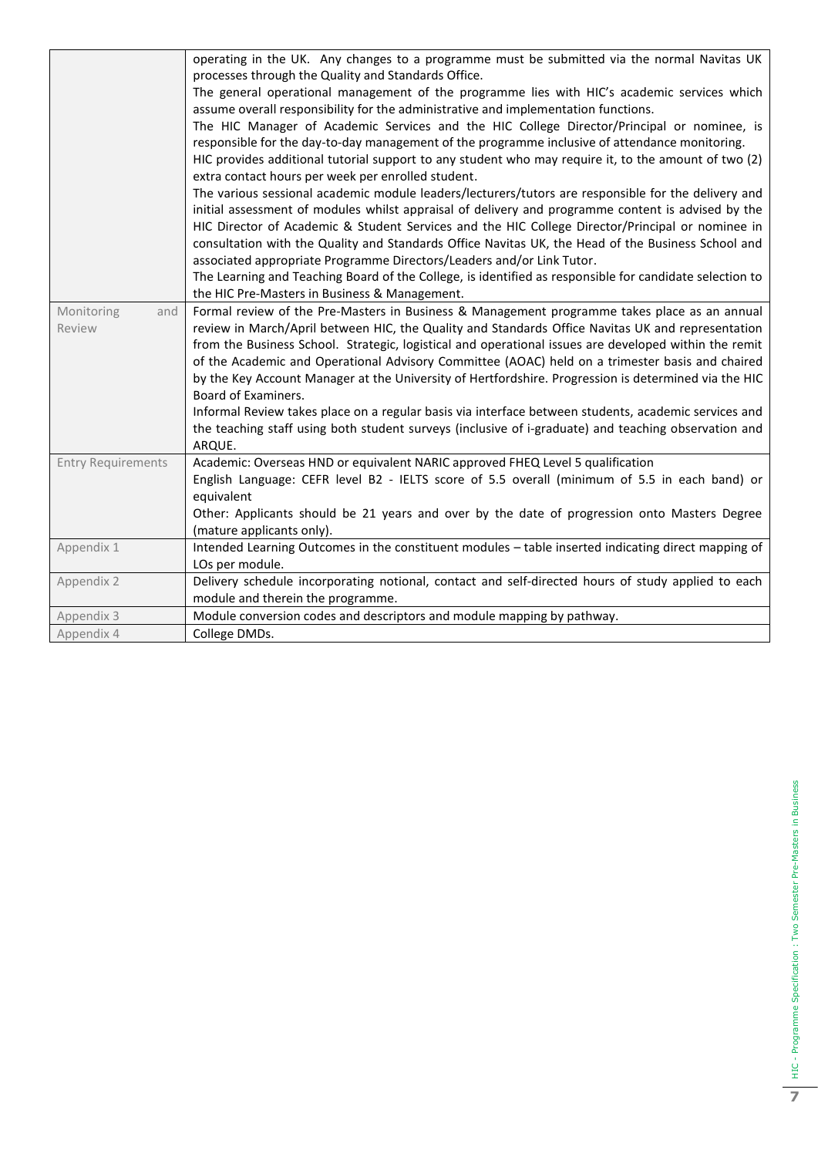|                           | operating in the UK. Any changes to a programme must be submitted via the normal Navitas UK             |
|---------------------------|---------------------------------------------------------------------------------------------------------|
|                           | processes through the Quality and Standards Office.                                                     |
|                           | The general operational management of the programme lies with HIC's academic services which             |
|                           | assume overall responsibility for the administrative and implementation functions.                      |
|                           | The HIC Manager of Academic Services and the HIC College Director/Principal or nominee, is              |
|                           | responsible for the day-to-day management of the programme inclusive of attendance monitoring.          |
|                           | HIC provides additional tutorial support to any student who may require it, to the amount of two (2)    |
|                           | extra contact hours per week per enrolled student.                                                      |
|                           | The various sessional academic module leaders/lecturers/tutors are responsible for the delivery and     |
|                           | initial assessment of modules whilst appraisal of delivery and programme content is advised by the      |
|                           | HIC Director of Academic & Student Services and the HIC College Director/Principal or nominee in        |
|                           | consultation with the Quality and Standards Office Navitas UK, the Head of the Business School and      |
|                           | associated appropriate Programme Directors/Leaders and/or Link Tutor.                                   |
|                           | The Learning and Teaching Board of the College, is identified as responsible for candidate selection to |
|                           | the HIC Pre-Masters in Business & Management.                                                           |
| Monitoring<br>and         | Formal review of the Pre-Masters in Business & Management programme takes place as an annual            |
| Review                    | review in March/April between HIC, the Quality and Standards Office Navitas UK and representation       |
|                           | from the Business School. Strategic, logistical and operational issues are developed within the remit   |
|                           | of the Academic and Operational Advisory Committee (AOAC) held on a trimester basis and chaired         |
|                           | by the Key Account Manager at the University of Hertfordshire. Progression is determined via the HIC    |
|                           | Board of Examiners.                                                                                     |
|                           | Informal Review takes place on a regular basis via interface between students, academic services and    |
|                           | the teaching staff using both student surveys (inclusive of i-graduate) and teaching observation and    |
|                           | ARQUE.                                                                                                  |
| <b>Entry Requirements</b> | Academic: Overseas HND or equivalent NARIC approved FHEQ Level 5 qualification                          |
|                           | English Language: CEFR level B2 - IELTS score of 5.5 overall (minimum of 5.5 in each band) or           |
|                           | equivalent                                                                                              |
|                           | Other: Applicants should be 21 years and over by the date of progression onto Masters Degree            |
|                           | (mature applicants only).                                                                               |
| Appendix 1                | Intended Learning Outcomes in the constituent modules - table inserted indicating direct mapping of     |
|                           | LOs per module.                                                                                         |
| Appendix 2                | Delivery schedule incorporating notional, contact and self-directed hours of study applied to each      |
|                           | module and therein the programme.                                                                       |
| Appendix 3                | Module conversion codes and descriptors and module mapping by pathway.                                  |
| Appendix 4                | College DMDs.                                                                                           |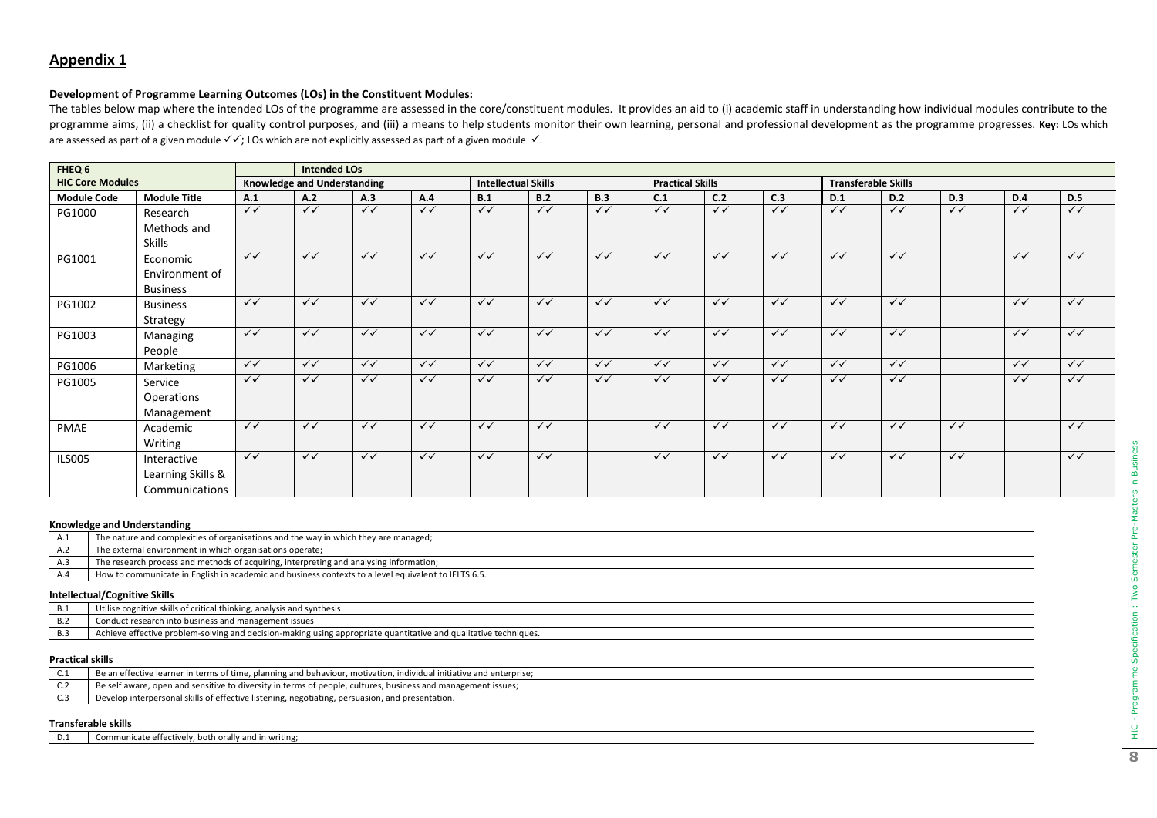## **Development of Programme Learning Outcomes (LOs) in the Constituent Modules:**

The tables below map where the intended LOs of the programme are assessed in the core/constituent modules. It provides an aid to (i) academic staff in understanding how individual modules contribute to the programme aims, (ii) a checklist for quality control purposes, and (iii) a means to help students monitor their own learning, personal and professional development as the programme progresses. Key: LOs which are assessed as part of a given module ✓✓; LOs which are not explicitly assessed as part of a given module ✓.

| FHEQ 6                  |                     |              | <b>Intended LOs</b>         |              |                         |                         |                            |              |              |                         |              |              |                            |           |              |              |
|-------------------------|---------------------|--------------|-----------------------------|--------------|-------------------------|-------------------------|----------------------------|--------------|--------------|-------------------------|--------------|--------------|----------------------------|-----------|--------------|--------------|
| <b>HIC Core Modules</b> |                     |              | Knowledge and Understanding |              |                         |                         | <b>Intellectual Skills</b> |              |              | <b>Practical Skills</b> |              |              | <b>Transferable Skills</b> |           |              |              |
| <b>Module Code</b>      | <b>Module Title</b> | A.1          | A.2                         | A.3          | A.4                     | B.1                     | B.2                        | B.3          | C.1          | C.2                     | C.3          | D.1          | D.2                        | D.3       | <b>D.4</b>   | <b>D.5</b>   |
| PG1000                  | Research            | $\sqrt{}$    | $\sqrt{}$                   | $\sqrt{}$    | $\checkmark$            | $\checkmark$            | $\checkmark$               | $\checkmark$ | $\checkmark$ | $\checkmark$            | $\sqrt{}$    | $\sqrt{}$    | $\sqrt{}$                  | $\sqrt{}$ | $\checkmark$ | $\sqrt{}$    |
|                         | Methods and         |              |                             |              |                         |                         |                            |              |              |                         |              |              |                            |           |              |              |
|                         | Skills              |              |                             |              |                         |                         |                            |              |              |                         |              |              |                            |           |              |              |
| PG1001                  | Economic            | $\checkmark$ | $\checkmark$                | $\checkmark$ | $\checkmark$            | $\checkmark$            | $\checkmark$               | $\checkmark$ | $\checkmark$ | $\checkmark$            | $\checkmark$ | $\checkmark$ | $\checkmark$               |           | $\checkmark$ | $\checkmark$ |
|                         | Environment of      |              |                             |              |                         |                         |                            |              |              |                         |              |              |                            |           |              |              |
|                         | <b>Business</b>     |              |                             |              |                         |                         |                            |              |              |                         |              |              |                            |           |              |              |
| PG1002                  | <b>Business</b>     | $\sqrt{}$    | $\sqrt{}$                   | $\sqrt{}$    | $\sqrt{}$               | $\sqrt{}$               | $\checkmark$               | $\checkmark$ | $\checkmark$ | $\checkmark$            | $\sqrt{}$    | $\sqrt{}$    | $\sqrt{}$                  |           | $\sqrt{}$    | $\sqrt{}$    |
|                         | Strategy            |              |                             |              |                         |                         |                            |              |              |                         |              |              |                            |           |              |              |
| PG1003                  | Managing            | $\checkmark$ | $\checkmark$                | $\checkmark$ | $\checkmark$            | $\checkmark$            | $\checkmark$               | $\checkmark$ | $\checkmark$ | $\checkmark$            | $\checkmark$ | $\checkmark$ | $\checkmark$               |           | $\checkmark$ | $\checkmark$ |
|                         | People              |              |                             |              |                         |                         |                            |              |              |                         |              |              |                            |           |              |              |
| PG1006                  | Marketing           | $\checkmark$ | $\checkmark$                | $\checkmark$ | $\checkmark$            | $\checkmark$            | $\checkmark$               | $\checkmark$ | $\checkmark$ | $\checkmark$            | $\checkmark$ | $\checkmark$ | $\checkmark$               |           | $\checkmark$ | $\checkmark$ |
| PG1005                  | Service             | $\checkmark$ | $\checkmark$                | $\checkmark$ | $\checkmark$            | $\checkmark$            | $\checkmark$               | $\checkmark$ | $\checkmark$ | $\checkmark$            | $\checkmark$ | $\checkmark$ | $\checkmark$               |           | $\checkmark$ | $\checkmark$ |
|                         | Operations          |              |                             |              |                         |                         |                            |              |              |                         |              |              |                            |           |              |              |
|                         | Management          |              |                             |              |                         |                         |                            |              |              |                         |              |              |                            |           |              |              |
| PMAE                    | Academic            | $\sqrt{}$    | $\sqrt{}$                   | $\sqrt{}$    | $\overline{\checkmark}$ | $\overline{\checkmark}$ | $\checkmark$               |              | $\checkmark$ | $\checkmark$            | $\sqrt{}$    | $\sqrt{}$    | $\sqrt{}$                  | $\sqrt{}$ |              | $\sqrt{}$    |
|                         | Writing             |              |                             |              |                         |                         |                            |              |              |                         |              |              |                            |           |              |              |
| <b>ILS005</b>           | Interactive         | $\checkmark$ | $\checkmark$                | $\checkmark$ | $\checkmark$            | $\checkmark$            | $\checkmark$               |              | $\checkmark$ | $\checkmark$            | $\checkmark$ | $\checkmark$ | $\checkmark$               | $\sqrt{}$ |              | $\checkmark$ |
|                         | Learning Skills &   |              |                             |              |                         |                         |                            |              |              |                         |              |              |                            |           |              |              |
|                         | Communications      |              |                             |              |                         |                         |                            |              |              |                         |              |              |                            |           |              |              |

#### **Knowledge and Understanding**

| A.1 | The nature and complexities of organisations and the way in which they are managed;                 |
|-----|-----------------------------------------------------------------------------------------------------|
| A.2 | The external environment in which organisations operate;                                            |
| A.3 | The research process and methods of acquiring, interpreting and analysing information;              |
| A.4 | How to communicate in English in academic and business contexts to a level equivalent to IELTS 6.5. |
|     | <b>Intellectual/Cognitive Skills</b>                                                                |

| D.I | Utilise cognitive skills of critical thinking, analysis and synthesis                                            |
|-----|------------------------------------------------------------------------------------------------------------------|
|     | Conduct research into business and management issues                                                             |
|     | Achieve ettective problem-solving and decision-making using appropriate quantitative and qualitative techniques. |

#### **Practical skills**

| Be an effective learner in terms of time, planning and behaviour, motivation, individual initiative and enterprise; |
|---------------------------------------------------------------------------------------------------------------------|
| Be self aware, open and sensitive to diversity in terms of people, cultures, business and management issues;        |
| Develop interpersonal skills of effective listening, negotiating, persuasion, and presentation.                     |

#### **Transferable skills**

| D.1 | Communicate effectively, both orally and in writing; |
|-----|------------------------------------------------------|
|-----|------------------------------------------------------|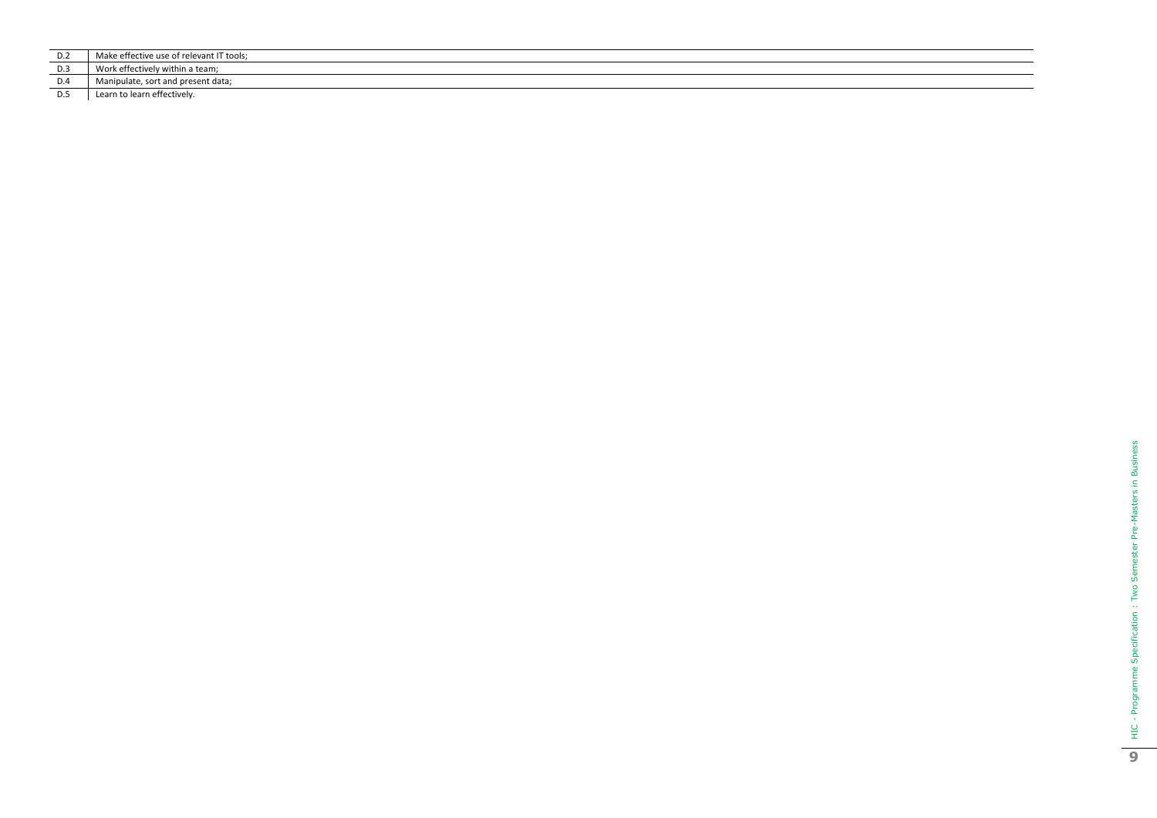| Make effective use of relevant IT tools; |
|------------------------------------------|

D.3 Work effectively within a team;<br>D.4 Manipulate, sort and present da

D.4 Manipulate, sort and present data;<br>D.5 Learn to learn effectively.

Learn to learn effectively.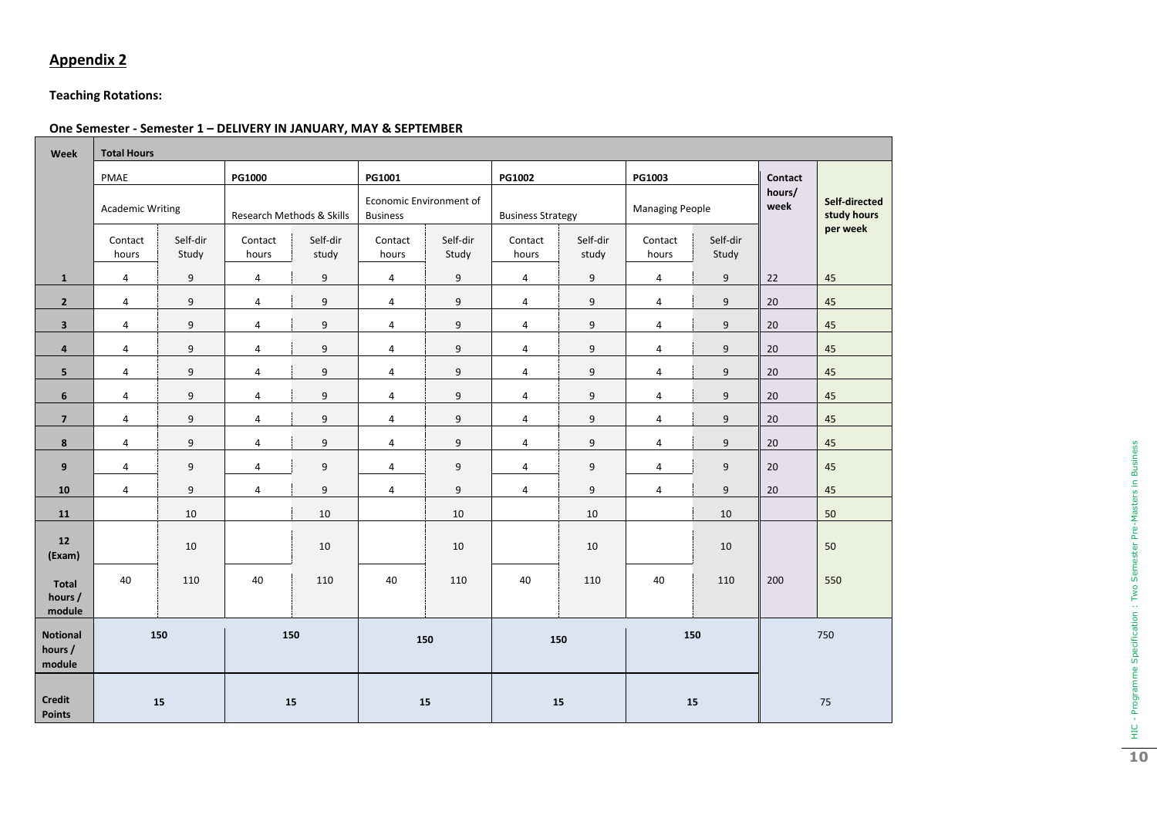## **Teaching Rotations:**

## **One Semester - Semester 1 – DELIVERY IN JANUARY, MAY & SEPTEMBER**

| Week                                 | <b>Total Hours</b>      |                   |                           |                   |                                            |                   |                          |                   |                        |                   |                |                              |
|--------------------------------------|-------------------------|-------------------|---------------------------|-------------------|--------------------------------------------|-------------------|--------------------------|-------------------|------------------------|-------------------|----------------|------------------------------|
|                                      | PMAE                    |                   | <b>PG1000</b>             |                   | PG1001                                     |                   | PG1002                   |                   | PG1003                 |                   | Contact        |                              |
|                                      | <b>Academic Writing</b> |                   | Research Methods & Skills |                   | Economic Environment of<br><b>Business</b> |                   | <b>Business Strategy</b> |                   | <b>Managing People</b> |                   | hours/<br>week | Self-directed<br>study hours |
|                                      | Contact<br>hours        | Self-dir<br>Study | Contact<br>hours          | Self-dir<br>study | Contact<br>hours                           | Self-dir<br>Study | Contact<br>hours         | Self-dir<br>study | Contact<br>hours       | Self-dir<br>Study |                | per week                     |
| $\mathbf{1}$                         | $\overline{4}$          | 9                 | $\overline{4}$            | 9                 | $\overline{a}$                             | 9                 | $\overline{4}$           | 9                 | $\overline{4}$         | 9                 | 22             | 45                           |
| $\overline{2}$                       | 4                       | 9                 | 4                         | 9                 | $\overline{a}$                             | $\boldsymbol{9}$  | $\pmb{4}$                | 9                 | 4                      | 9                 | $20\,$         | $\sqrt{45}$                  |
| 3                                    | $\overline{a}$          | $\mathsf 9$       | $\overline{a}$            | $\boldsymbol{9}$  | $\overline{a}$                             | $\mathsf g$       | 4                        | $\mathsf g$       | $\overline{a}$         | $\boldsymbol{9}$  | $20\,$         | 45                           |
| $\overline{\mathbf{a}}$              | 4                       | 9                 | 4                         | $\boldsymbol{9}$  | $\pmb{4}$                                  | $\boldsymbol{9}$  | $\pmb{4}$                | $\boldsymbol{9}$  | 4                      | $\boldsymbol{9}$  | $20\,$         | 45                           |
| 5                                    | $\overline{a}$          | $\mathsf 9$       | 4                         | $\boldsymbol{9}$  | $\overline{a}$                             | $\mathsf g$       | 4                        | $\mathsf g$       | 4                      | $\boldsymbol{9}$  | $20\,$         | 45                           |
| 6                                    | $\overline{4}$          | 9                 | $\overline{a}$            | 9                 | $\overline{a}$                             | $\boldsymbol{9}$  | 4                        | 9                 | $\overline{4}$         | 9                 | $20\,$         | $45\,$                       |
| $\overline{7}$                       | $\overline{4}$          | $\mathsf 9$       | $\overline{a}$            | $\boldsymbol{9}$  | $\overline{a}$                             | $\mathsf g$       | 4                        | 9                 | $\overline{4}$         | 9                 | $20\,$         | 45                           |
| 8                                    | $\overline{4}$          | 9                 | $\overline{4}$            | $\boldsymbol{9}$  | $\overline{4}$                             | 9                 | 4                        | 9                 | $\overline{4}$         | 9                 | 20             | 45                           |
| 9                                    | $\overline{4}$          | 9                 | $\overline{a}$            | 9                 | $\overline{a}$                             | $\boldsymbol{9}$  | $\pmb{4}$                | 9                 | 4                      | 9                 | $20\,$         | $45\,$                       |
| 10                                   | $\overline{4}$          | 9                 | $\overline{a}$            | 9                 | $\overline{4}$                             | $\boldsymbol{9}$  | 4                        | 9                 | $\overline{4}$         | 9                 | 20             | 45                           |
| 11                                   |                         | 10                |                           | 10                |                                            | 10                |                          | 10                |                        | 10                |                | 50                           |
| 12<br>(Exam)                         |                         | $10\,$            |                           | 10                |                                            | 10                |                          | 10                |                        | 10                |                | 50                           |
| Total<br>hours /<br>module           | 40                      | 110               | 40                        | 110               | 40                                         | 110               | 40                       | 110               | 40                     | 110               | 200            | 550                          |
| <b>Notional</b><br>hours /<br>module | 150                     |                   | 150                       |                   | 150                                        |                   | 150                      |                   | 150                    |                   |                | 750                          |
| <b>Credit</b><br><b>Points</b>       | 15                      |                   |                           | 15                | 15                                         |                   | 15                       |                   |                        | 15                |                | 75                           |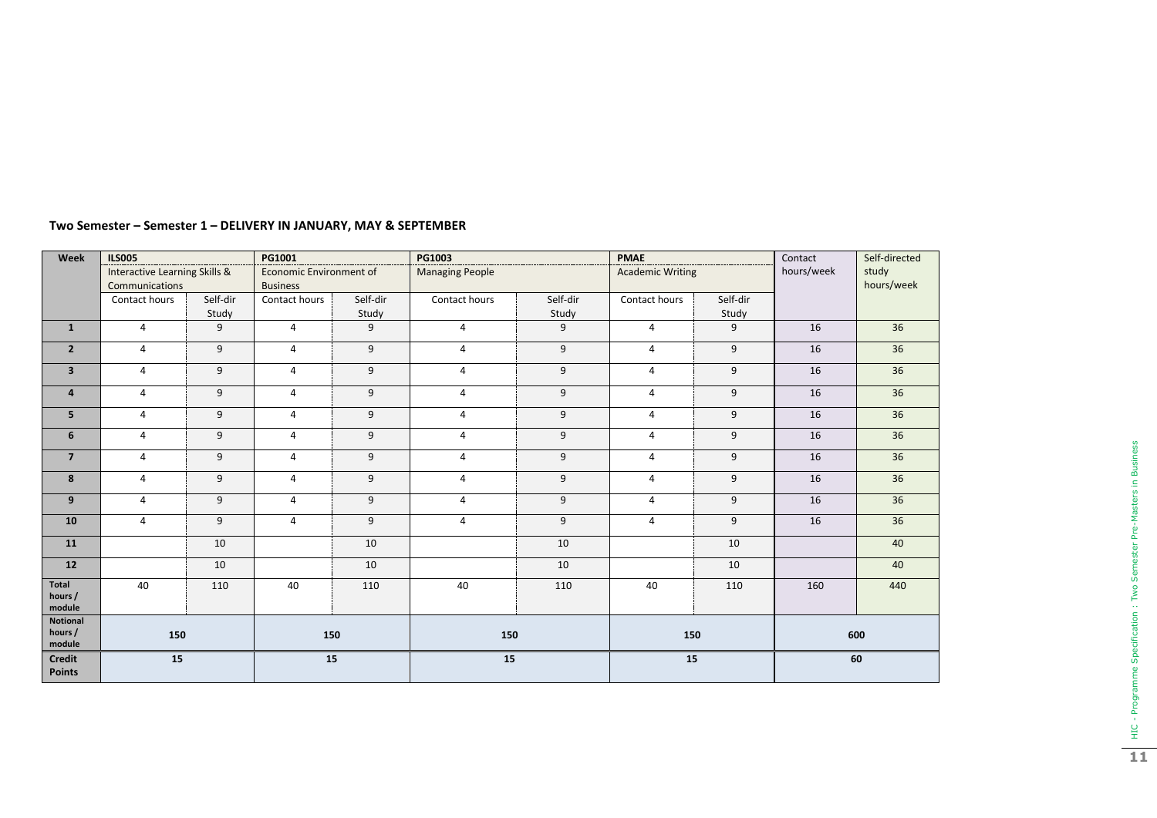| Week                                 | <b>ILS005</b>                                   |          | PG1001                                     |          | PG1003                 |          | <b>PMAE</b>             |          | Contact<br>Self-directed |                     |
|--------------------------------------|-------------------------------------------------|----------|--------------------------------------------|----------|------------------------|----------|-------------------------|----------|--------------------------|---------------------|
|                                      | Interactive Learning Skills &<br>Communications |          | Economic Environment of<br><b>Business</b> |          | <b>Managing People</b> |          | <b>Academic Writing</b> |          | hours/week               | study<br>hours/week |
|                                      | Contact hours                                   | Self-dir | Contact hours                              | Self-dir | Contact hours          | Self-dir | Contact hours           | Self-dir |                          |                     |
|                                      |                                                 | Study    |                                            | Study    |                        | Study    |                         | Study    |                          |                     |
| $\mathbf{1}$                         | $\overline{4}$                                  | 9        | $\overline{4}$                             | 9        | $\overline{4}$         | 9        | $\overline{4}$          | 9        | 16                       | 36                  |
| $\overline{2}$                       | $\overline{4}$                                  | 9        | $\overline{4}$                             | 9        | 4                      | 9        | 4                       | 9        | 16                       | 36                  |
| $\overline{\mathbf{3}}$              | $\overline{4}$                                  | 9        | $\overline{4}$                             | 9        | $\overline{4}$         | 9        | $\overline{4}$          | 9        | 16                       | 36                  |
| $\overline{4}$                       | $\overline{4}$                                  | 9        | 4                                          | 9        | $\overline{4}$         | 9        | 4                       | 9        | 16                       | 36                  |
| 5                                    | $\overline{4}$                                  | 9        | $\overline{4}$                             | 9        | 4                      | 9        | $\overline{4}$          | 9        | 16                       | 36                  |
| 6                                    | $\overline{4}$                                  | 9        | $\overline{4}$                             | 9        | $\overline{4}$         | 9        | $\overline{4}$          | 9        | 16                       | 36                  |
| $\overline{7}$                       | $\overline{4}$                                  | 9        | $\overline{4}$                             | 9        | $\overline{4}$         | 9        | $\overline{4}$          | 9        | 16                       | 36                  |
| 8                                    | $\overline{4}$                                  | 9        | $\overline{4}$                             | 9        | $\overline{4}$         | 9        | $\overline{4}$          | 9        | 16                       | 36                  |
| 9                                    | $\overline{4}$                                  | 9        | 4                                          | 9        | 4                      | 9        | $\overline{4}$          | 9        | 16                       | 36                  |
| 10                                   | $\overline{4}$                                  | 9        | 4                                          | 9        | 4                      | 9        | $\overline{4}$          | 9        | 16                       | 36                  |
| 11                                   |                                                 | 10       |                                            | 10       |                        | 10       |                         | 10       |                          | 40                  |
| 12                                   |                                                 | 10       |                                            | 10       |                        | 10       |                         | 10       |                          | 40                  |
| Total<br>hours /<br>module           | 40                                              | 110      | 40                                         | 110      | 40                     | 110      | 40                      | 110      | 160                      | 440                 |
| <b>Notional</b><br>hours /<br>module | 150                                             |          | 150                                        |          | 150                    |          | 150                     |          | 600                      |                     |
| <b>Credit</b><br><b>Points</b>       | 15                                              |          | 15                                         |          | 15                     |          | 15                      |          | 60                       |                     |

#### **Two Semester – Semester 1 – DELIVERY IN JANUARY, MAY & SEPTEMBER**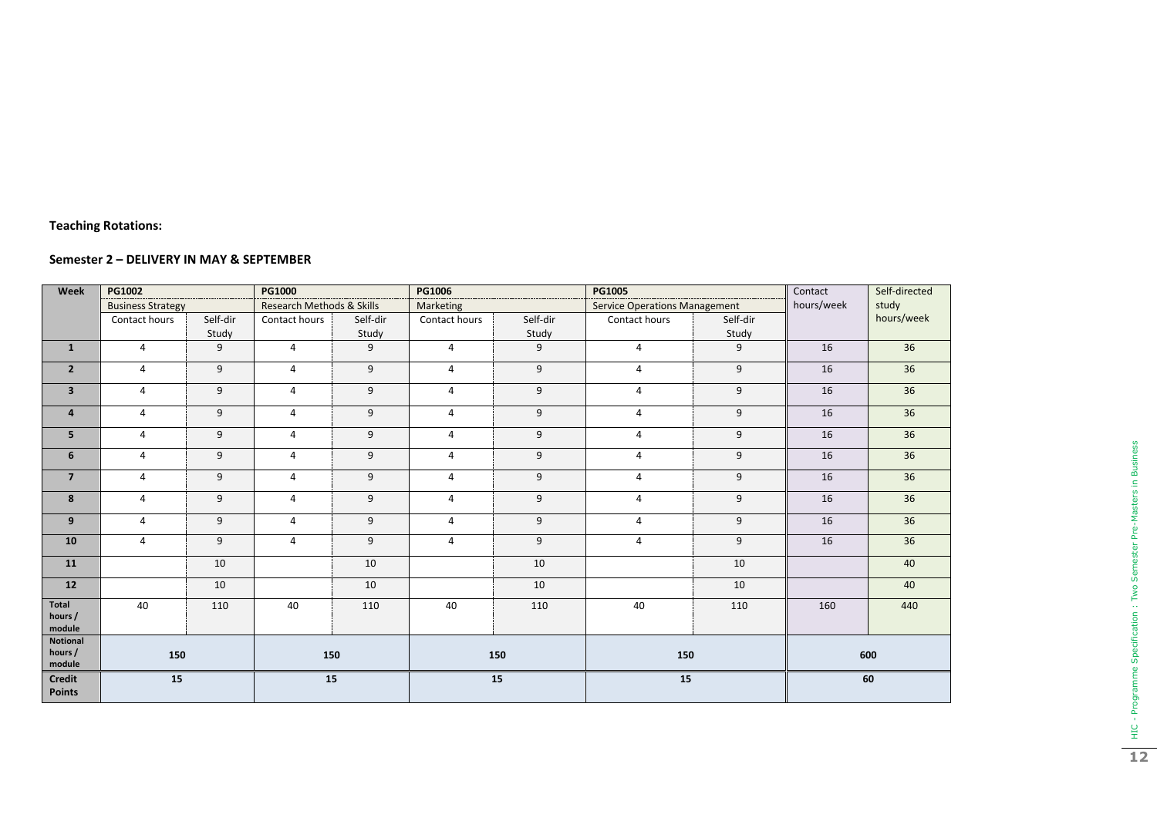#### **Teaching Rotations :**

### **Semester 2 – DELIVERY IN MAY & SEPTEMBER**

| Week                           | PG1002                   |                           | PG1000         |           | <b>PG1006</b>  | ------------------------------------- | PG1005                               | ----------------------------------- | Contact | Self-directed |
|--------------------------------|--------------------------|---------------------------|----------------|-----------|----------------|---------------------------------------|--------------------------------------|-------------------------------------|---------|---------------|
|                                | <b>Business Strategy</b> | Research Methods & Skills |                | Marketing |                |                                       | <b>Service Operations Management</b> |                                     | study   |               |
|                                | Contact hours            | Self-dir                  | Contact hours  | Self-dir  | Contact hours  | Self-dir                              | Contact hours                        | Self-dir                            |         | hours/week    |
|                                |                          | Study                     |                | Study     |                | Study                                 |                                      | Study                               |         |               |
| $\mathbf{1}$                   | $\overline{4}$           | 9                         | $\overline{4}$ | 9         | $\overline{4}$ | 9                                     | $\overline{4}$                       | 9                                   | 16      | 36            |
| $\overline{2}$                 | $\overline{4}$           | 9                         | $\overline{4}$ | 9         | $\overline{4}$ | 9                                     | $\overline{4}$                       | 9                                   | 16      | 36            |
| $\overline{\mathbf{3}}$        | 4                        | 9                         | $\overline{4}$ | 9         | $\overline{4}$ | 9                                     | 4                                    | 9                                   | 16      | 36            |
| $\overline{4}$                 | 4                        | 9                         | $\overline{4}$ | 9         | $\overline{4}$ | 9                                     | 4                                    | 9                                   | 16      | 36            |
| 5                              | 4                        | 9                         | $\overline{4}$ | 9         | $\overline{4}$ | 9                                     | 4                                    | 9                                   | 16      | 36            |
| 6                              | $\overline{4}$           | 9                         | 4              | 9         | 4              | 9                                     | 4                                    | 9                                   | 16      | 36            |
| $\overline{7}$                 | $\overline{4}$           | 9                         | 4              | 9         | $\overline{4}$ | 9                                     | $\overline{4}$                       | 9                                   | 16      | 36            |
| 8                              | $\overline{4}$           | 9                         | $\overline{4}$ | 9         | $\overline{4}$ | 9                                     | $\overline{4}$                       | 9                                   | 16      | 36            |
| 9                              | 4                        | 9                         | $\overline{4}$ | 9         | $\overline{4}$ | 9                                     | 4                                    | 9                                   | 16      | 36            |
| 10                             | 4                        | 9                         | 4              | 9         | $\overline{4}$ | 9                                     | $\overline{4}$                       | 9                                   | 16      | 36            |
| 11                             |                          | 10                        |                | 10        |                | 10                                    |                                      | 10                                  |         | 40            |
| $12$                           |                          | 10                        |                | 10        |                | 10                                    |                                      | 10                                  |         | 40            |
| Total<br>hours /<br>module     | 40                       | 110                       | 40             | 110       | 40             | 110                                   | 40                                   | 110                                 | 160     | 440           |
| Notional<br>hours /<br>module  | 150                      |                           | 150            |           |                | 150                                   | 150                                  |                                     |         | 600           |
| <b>Credit</b><br><b>Points</b> | 15                       |                           | 15             |           | 15             |                                       | 15                                   |                                     | 60      |               |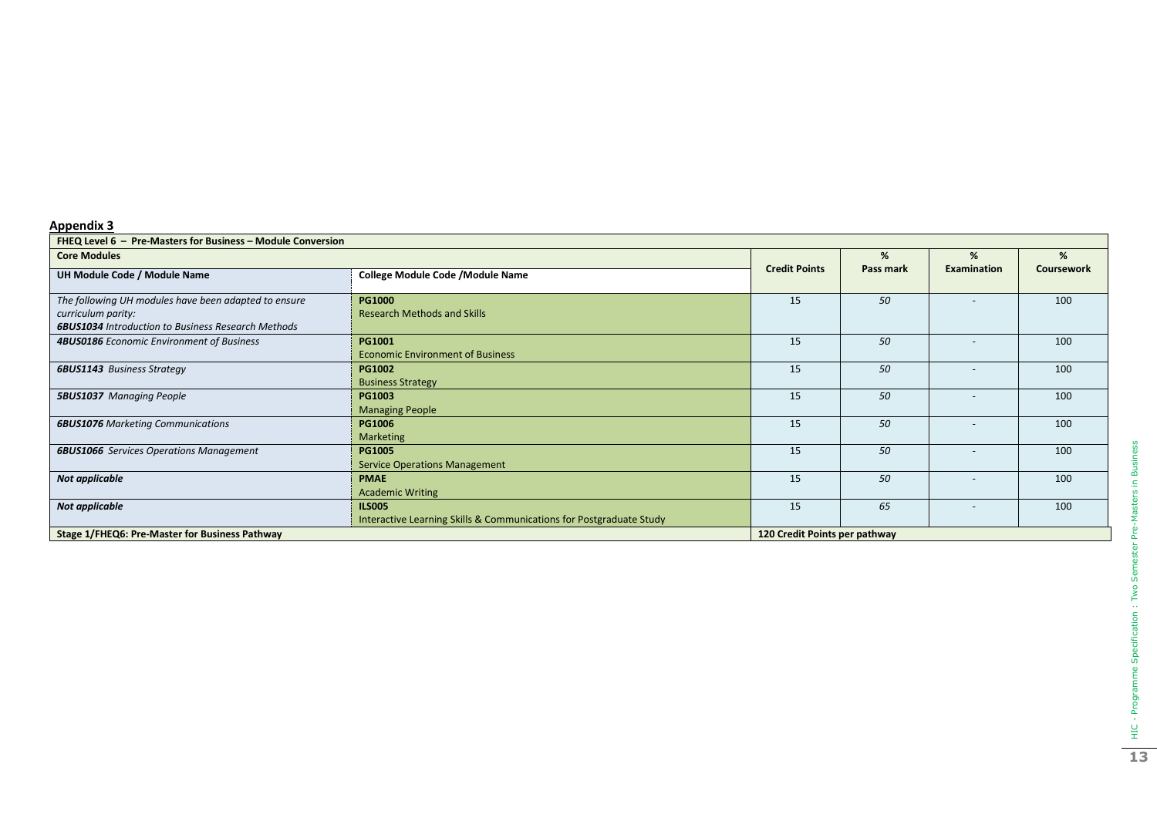| FHEQ Level 6 - Pre-Masters for Business - Module Conversion                                                                             |                                                                                      |                      |           |                          |            |  |
|-----------------------------------------------------------------------------------------------------------------------------------------|--------------------------------------------------------------------------------------|----------------------|-----------|--------------------------|------------|--|
| <b>Core Modules</b>                                                                                                                     |                                                                                      | %                    | %         | %                        |            |  |
| UH Module Code / Module Name                                                                                                            | <b>College Module Code / Module Name</b>                                             | <b>Credit Points</b> | Pass mark | <b>Examination</b>       | Coursework |  |
| The following UH modules have been adapted to ensure<br>curriculum parity:<br><b>6BUS1034</b> Introduction to Business Research Methods | <b>PG1000</b><br><b>Research Methods and Skills</b>                                  | 15                   | 50        |                          | 100        |  |
| 4BUS0186 Economic Environment of Business                                                                                               | PG1001<br><b>Economic Environment of Business</b>                                    | 15                   | 50        |                          | 100        |  |
| <b>6BUS1143</b> Business Strategy                                                                                                       | <b>PG1002</b><br><b>Business Strategy</b>                                            | 15                   | 50        | $\overline{\phantom{a}}$ | 100        |  |
| <b>5BUS1037</b> Managing People                                                                                                         | <b>PG1003</b><br><b>Managing People</b>                                              | 15                   | 50        |                          | 100        |  |
| <b>6BUS1076</b> Marketing Communications                                                                                                | <b>PG1006</b><br>Marketing                                                           | 15                   | 50        |                          | 100        |  |
| <b>6BUS1066</b> Services Operations Management                                                                                          | <b>PG1005</b><br><b>Service Operations Management</b>                                | 15                   | 50        |                          | 100        |  |
| Not applicable                                                                                                                          | <b>PMAE</b><br><b>Academic Writing</b>                                               | 15                   | 50        |                          | 100        |  |
| Not applicable                                                                                                                          | <b>ILS005</b><br>Interactive Learning Skills & Communications for Postgraduate Study | 15                   | 65        |                          | 100        |  |
| Stage 1/FHEQ6: Pre-Master for Business Pathway                                                                                          | 120 Credit Points per pathway                                                        |                      |           |                          |            |  |